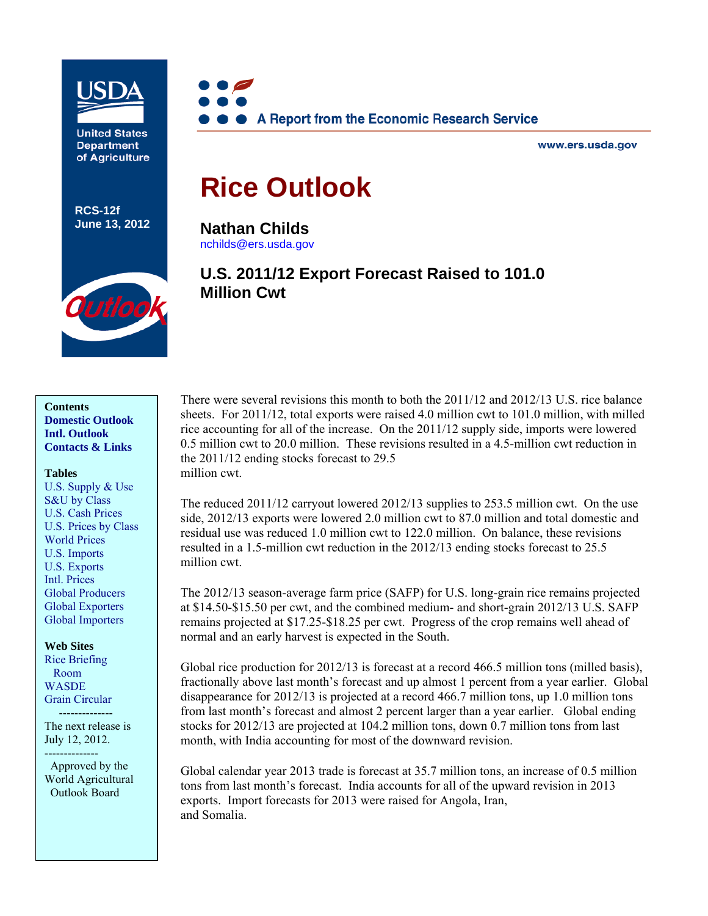

**United States Department** of Agriculture

**RCS-12f June 13, 2012**



www.ers.usda.gov

# **Rice Outlook**

**Nathan Childs**  [nchilds@ers.usda.gov](mailto:nchilds@ers.usda.gov) 

# **U.S. 2011/12 Export Forecast Raised to 101.0 Million Cwt**



**Contents [Domestic Outlook](#page-2-0)  [Intl. Outlook](#page-9-0)  [Contacts & Links](#page-14-0)** 

#### **Tables**

[U.S. Supply & Use](#page-15-0)  [S&U by Class](#page-16-0)  [U.S. Cash Prices](#page-17-0)  [U.S. Prices by Class](#page-18-0)  [World Prices](#page-19-0)  [U.S. Imports](#page-20-0)  [U.S. Exports](#page-21-0)  [Intl. Prices](#page-22-0)  [Global Producers](#page-23-0)  [Global Exporters](#page-24-0)  [Global Importers](#page-25-0) 

**Web Sites**  [Rice Briefing](http://www.ers.usda.gov/Briefing/Rice/) Room [WASDE](http://usda.mannlib.cornell.edu/MannUsda/viewDocumentInfo.do?documentID=1194)  [Grain Circular](http://www.fas.usda.gov/grain_arc.asp)  --------------

The next release is July 12, 2012.

--------------

 Approved by the World Agricultural Outlook Board

There were several revisions this month to both the 2011/12 and 2012/13 U.S. rice balance sheets. For 2011/12, total exports were raised 4.0 million cwt to 101.0 million, with milled rice accounting for all of the increase. On the 2011/12 supply side, imports were lowered 0.5 million cwt to 20.0 million. These revisions resulted in a 4.5-million cwt reduction in the 2011/12 ending stocks forecast to 29.5 million cwt.

The reduced 2011/12 carryout lowered 2012/13 supplies to 253.5 million cwt. On the use side, 2012/13 exports were lowered 2.0 million cwt to 87.0 million and total domestic and residual use was reduced 1.0 million cwt to 122.0 million. On balance, these revisions resulted in a 1.5-million cwt reduction in the 2012/13 ending stocks forecast to 25.5 million cwt.

The 2012/13 season-average farm price (SAFP) for U.S. long-grain rice remains projected at \$14.50-\$15.50 per cwt, and the combined medium- and short-grain 2012/13 U.S. SAFP remains projected at \$17.25-\$18.25 per cwt. Progress of the crop remains well ahead of normal and an early harvest is expected in the South.

Global rice production for 2012/13 is forecast at a record 466.5 million tons (milled basis), fractionally above last month's forecast and up almost 1 percent from a year earlier. Global disappearance for 2012/13 is projected at a record 466.7 million tons, up 1.0 million tons from last month's forecast and almost 2 percent larger than a year earlier. Global ending stocks for 2012/13 are projected at 104.2 million tons, down 0.7 million tons from last month, with India accounting for most of the downward revision.

Global calendar year 2013 trade is forecast at 35.7 million tons, an increase of 0.5 million tons from last month's forecast. India accounts for all of the upward revision in 2013 exports. Import forecasts for 2013 were raised for Angola, Iran, and Somalia.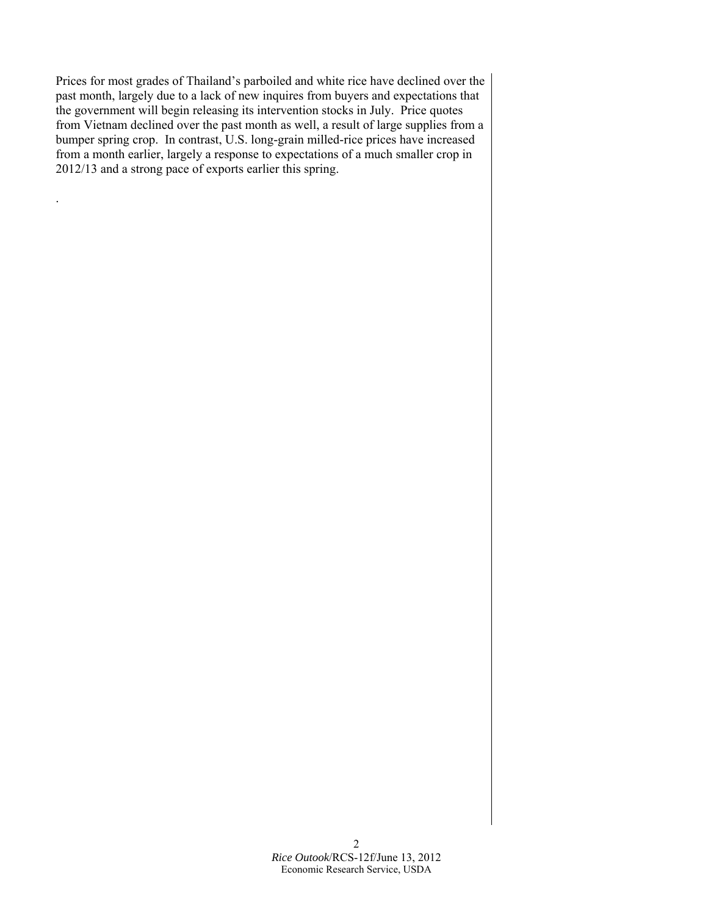Prices for most grades of Thailand's parboiled and white rice have declined over the past month, largely due to a lack of new inquires from buyers and expectations that the government will begin releasing its intervention stocks in July. Price quotes from Vietnam declined over the past month as well, a result of large supplies from a bumper spring crop. In contrast, U.S. long-grain milled-rice prices have increased from a month earlier, largely a response to expectations of a much smaller crop in 2012/13 and a strong pace of exports earlier this spring.

.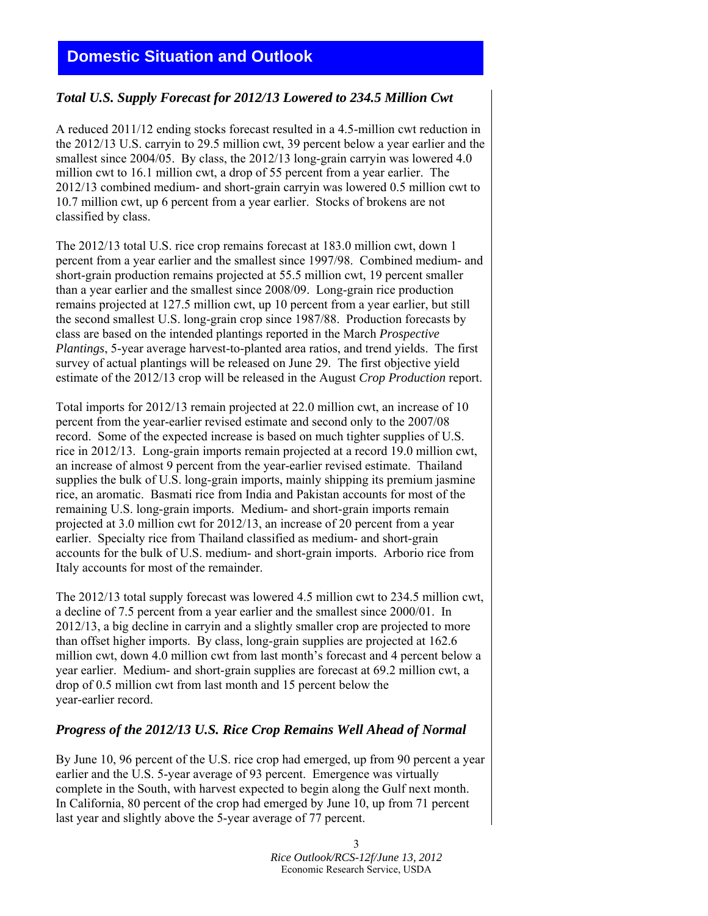# <span id="page-2-0"></span>**Domestic Situation and Outlook**

### *Total U.S. Supply Forecast for 2012/13 Lowered to 234.5 Million Cwt*

A reduced 2011/12 ending stocks forecast resulted in a 4.5-million cwt reduction in the 2012/13 U.S. carryin to 29.5 million cwt, 39 percent below a year earlier and the smallest since 2004/05. By class, the 2012/13 long-grain carryin was lowered 4.0 million cwt to 16.1 million cwt, a drop of 55 percent from a year earlier. The 2012/13 combined medium- and short-grain carryin was lowered 0.5 million cwt to 10.7 million cwt, up 6 percent from a year earlier. Stocks of brokens are not classified by class.

The 2012/13 total U.S. rice crop remains forecast at 183.0 million cwt, down 1 percent from a year earlier and the smallest since 1997/98. Combined medium- and short-grain production remains projected at 55.5 million cwt, 19 percent smaller than a year earlier and the smallest since 2008/09. Long-grain rice production remains projected at 127.5 million cwt, up 10 percent from a year earlier, but still the second smallest U.S. long-grain crop since 1987/88. Production forecasts by class are based on the intended plantings reported in the March *Prospective Plantings*, 5-year average harvest-to-planted area ratios, and trend yields. The first survey of actual plantings will be released on June 29. The first objective yield estimate of the 2012/13 crop will be released in the August *Crop Production* report.

Total imports for 2012/13 remain projected at 22.0 million cwt, an increase of 10 percent from the year-earlier revised estimate and second only to the 2007/08 record. Some of the expected increase is based on much tighter supplies of U.S. rice in 2012/13. Long-grain imports remain projected at a record 19.0 million cwt, an increase of almost 9 percent from the year-earlier revised estimate. Thailand supplies the bulk of U.S. long-grain imports, mainly shipping its premium jasmine rice, an aromatic. Basmati rice from India and Pakistan accounts for most of the remaining U.S. long-grain imports. Medium- and short-grain imports remain projected at 3.0 million cwt for 2012/13, an increase of 20 percent from a year earlier. Specialty rice from Thailand classified as medium- and short-grain accounts for the bulk of U.S. medium- and short-grain imports. Arborio rice from Italy accounts for most of the remainder.

The 2012/13 total supply forecast was lowered 4.5 million cwt to 234.5 million cwt, a decline of 7.5 percent from a year earlier and the smallest since 2000/01. In 2012/13, a big decline in carryin and a slightly smaller crop are projected to more than offset higher imports. By class, long-grain supplies are projected at 162.6 million cwt, down 4.0 million cwt from last month's forecast and 4 percent below a year earlier. Medium- and short-grain supplies are forecast at 69.2 million cwt, a drop of 0.5 million cwt from last month and 15 percent below the year-earlier record.

### *Progress of the 2012/13 U.S. Rice Crop Remains Well Ahead of Normal*

By June 10, 96 percent of the U.S. rice crop had emerged, up from 90 percent a year earlier and the U.S. 5-year average of 93 percent. Emergence was virtually complete in the South, with harvest expected to begin along the Gulf next month. In California, 80 percent of the crop had emerged by June 10, up from 71 percent last year and slightly above the 5-year average of 77 percent.

> 3 *Rice Outlook/RCS-12f/June 13, 2012* Economic Research Service, USDA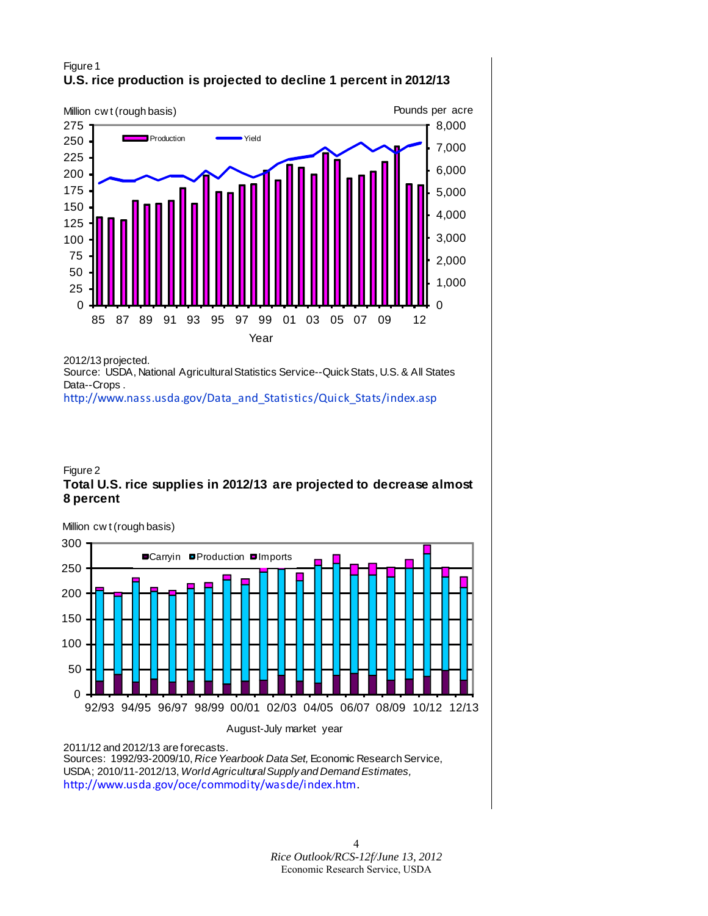### Figure 1 **U.S. rice production is projected to decline 1 percent in 2012/13**



2012/13 projected.

Source: USDA, National Agricultural Statistics Service--Quick Stats, U.S. & All States Data--Crops .

[http://www.nass.usda.gov/Data\\_and\\_Statistics/Quick\\_Stats/index.asp](http://www.nass.usda.gov/Data_and_Statistics/Quick_Stats/index.asp)

### Figure 2 **Total U.S. rice supplies in 2012/13 are projected to decrease almost 8 percent**



2011/12 and 2012/13 are forecasts.

Sources: 1992/93-2009/10, *Rice Yearbook Data Set,* Economic Research Service, USDA; 2010/11-2012/13, *World Agricultural Supply and Demand Estimates,*  [http://www.usda.gov/oce/commodity/wasde/index.htm.](http://www.usda.gov/oce/commodity/wasde/index.htm)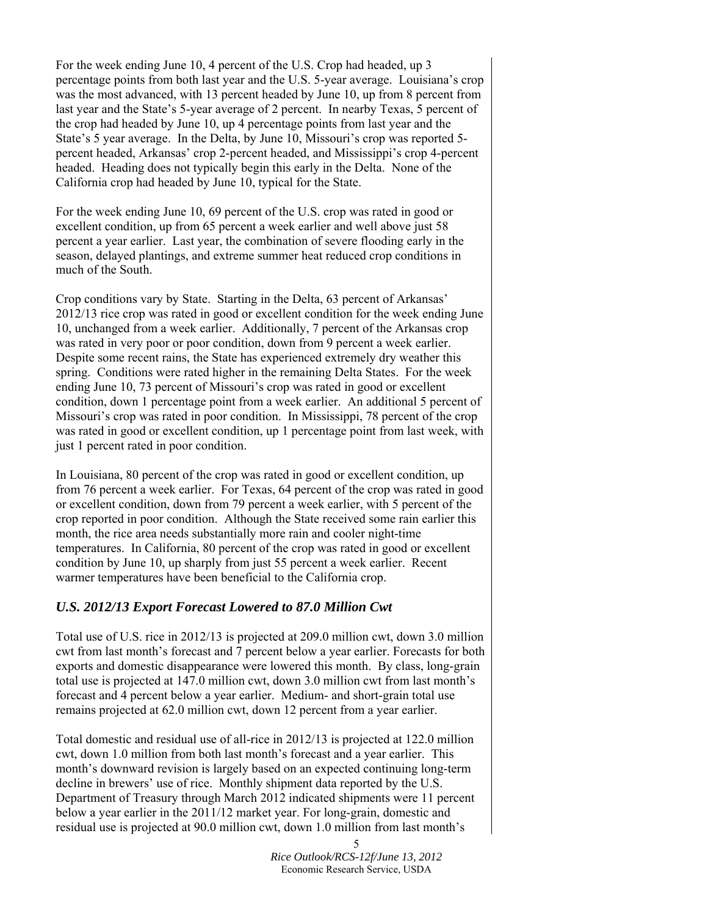For the week ending June 10, 4 percent of the U.S. Crop had headed, up 3 percentage points from both last year and the U.S. 5-year average. Louisiana's crop was the most advanced, with 13 percent headed by June 10, up from 8 percent from last year and the State's 5-year average of 2 percent. In nearby Texas, 5 percent of the crop had headed by June 10, up 4 percentage points from last year and the State's 5 year average. In the Delta, by June 10, Missouri's crop was reported 5 percent headed, Arkansas' crop 2-percent headed, and Mississippi's crop 4-percent headed. Heading does not typically begin this early in the Delta. None of the California crop had headed by June 10, typical for the State.

For the week ending June 10, 69 percent of the U.S. crop was rated in good or excellent condition, up from 65 percent a week earlier and well above just 58 percent a year earlier. Last year, the combination of severe flooding early in the season, delayed plantings, and extreme summer heat reduced crop conditions in much of the South.

Crop conditions vary by State. Starting in the Delta, 63 percent of Arkansas' 2012/13 rice crop was rated in good or excellent condition for the week ending June 10, unchanged from a week earlier. Additionally, 7 percent of the Arkansas crop was rated in very poor or poor condition, down from 9 percent a week earlier. Despite some recent rains, the State has experienced extremely dry weather this spring. Conditions were rated higher in the remaining Delta States. For the week ending June 10, 73 percent of Missouri's crop was rated in good or excellent condition, down 1 percentage point from a week earlier. An additional 5 percent of Missouri's crop was rated in poor condition. In Mississippi, 78 percent of the crop was rated in good or excellent condition, up 1 percentage point from last week, with just 1 percent rated in poor condition.

In Louisiana, 80 percent of the crop was rated in good or excellent condition, up from 76 percent a week earlier. For Texas, 64 percent of the crop was rated in good or excellent condition, down from 79 percent a week earlier, with 5 percent of the crop reported in poor condition. Although the State received some rain earlier this month, the rice area needs substantially more rain and cooler night-time temperatures. In California, 80 percent of the crop was rated in good or excellent condition by June 10, up sharply from just 55 percent a week earlier. Recent warmer temperatures have been beneficial to the California crop.

### *U.S. 2012/13 Export Forecast Lowered to 87.0 Million Cwt*

Total use of U.S. rice in 2012/13 is projected at 209.0 million cwt, down 3.0 million cwt from last month's forecast and 7 percent below a year earlier. Forecasts for both exports and domestic disappearance were lowered this month. By class, long-grain total use is projected at 147.0 million cwt, down 3.0 million cwt from last month's forecast and 4 percent below a year earlier. Medium- and short-grain total use remains projected at 62.0 million cwt, down 12 percent from a year earlier.

Total domestic and residual use of all-rice in 2012/13 is projected at 122.0 million cwt, down 1.0 million from both last month's forecast and a year earlier. This month's downward revision is largely based on an expected continuing long-term decline in brewers' use of rice. Monthly shipment data reported by the U.S. Department of Treasury through March 2012 indicated shipments were 11 percent below a year earlier in the 2011/12 market year. For long-grain, domestic and residual use is projected at 90.0 million cwt, down 1.0 million from last month's

<sup>5</sup>  *Rice Outlook/RCS-12f/June 13, 2012* Economic Research Service, USDA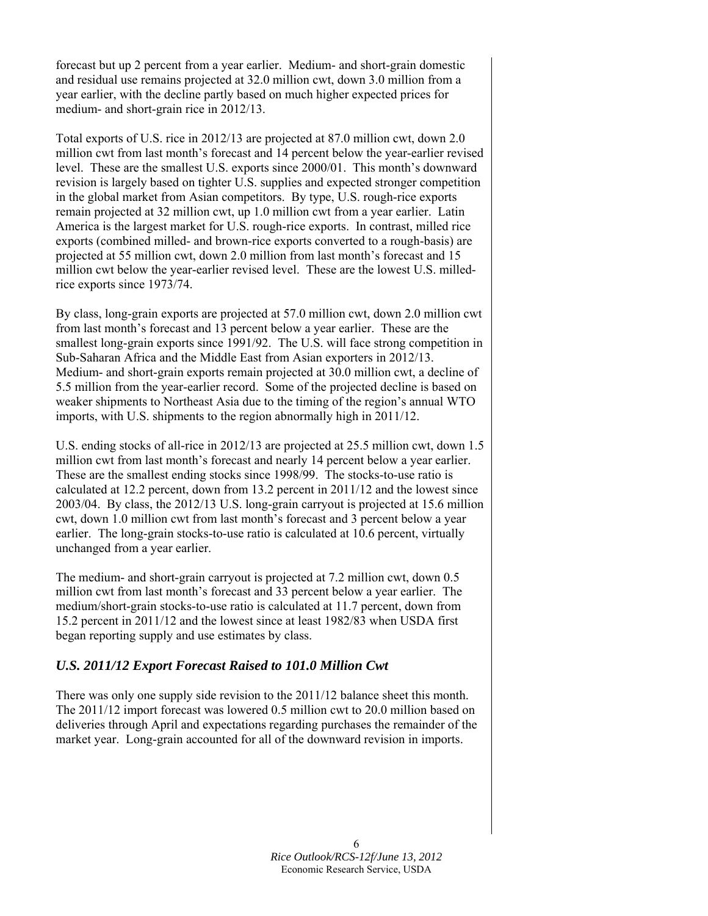forecast but up 2 percent from a year earlier. Medium- and short-grain domestic and residual use remains projected at 32.0 million cwt, down 3.0 million from a year earlier, with the decline partly based on much higher expected prices for medium- and short-grain rice in 2012/13.

Total exports of U.S. rice in 2012/13 are projected at 87.0 million cwt, down 2.0 million cwt from last month's forecast and 14 percent below the year-earlier revised level. These are the smallest U.S. exports since 2000/01. This month's downward revision is largely based on tighter U.S. supplies and expected stronger competition in the global market from Asian competitors. By type, U.S. rough-rice exports remain projected at 32 million cwt, up 1.0 million cwt from a year earlier. Latin America is the largest market for U.S. rough-rice exports. In contrast, milled rice exports (combined milled- and brown-rice exports converted to a rough-basis) are projected at 55 million cwt, down 2.0 million from last month's forecast and 15 million cwt below the year-earlier revised level. These are the lowest U.S. milledrice exports since 1973/74.

By class, long-grain exports are projected at 57.0 million cwt, down 2.0 million cwt from last month's forecast and 13 percent below a year earlier. These are the smallest long-grain exports since 1991/92. The U.S. will face strong competition in Sub-Saharan Africa and the Middle East from Asian exporters in 2012/13. Medium- and short-grain exports remain projected at 30.0 million cwt, a decline of 5.5 million from the year-earlier record. Some of the projected decline is based on weaker shipments to Northeast Asia due to the timing of the region's annual WTO imports, with U.S. shipments to the region abnormally high in 2011/12.

U.S. ending stocks of all-rice in 2012/13 are projected at 25.5 million cwt, down 1.5 million cwt from last month's forecast and nearly 14 percent below a year earlier. These are the smallest ending stocks since 1998/99. The stocks-to-use ratio is calculated at 12.2 percent, down from 13.2 percent in 2011/12 and the lowest since 2003/04. By class, the 2012/13 U.S. long-grain carryout is projected at 15.6 million cwt, down 1.0 million cwt from last month's forecast and 3 percent below a year earlier. The long-grain stocks-to-use ratio is calculated at 10.6 percent, virtually unchanged from a year earlier.

The medium- and short-grain carryout is projected at 7.2 million cwt, down 0.5 million cwt from last month's forecast and 33 percent below a year earlier. The medium/short-grain stocks-to-use ratio is calculated at 11.7 percent, down from 15.2 percent in 2011/12 and the lowest since at least 1982/83 when USDA first began reporting supply and use estimates by class.

# *U.S. 2011/12 Export Forecast Raised to 101.0 Million Cwt*

There was only one supply side revision to the 2011/12 balance sheet this month. The 2011/12 import forecast was lowered 0.5 million cwt to 20.0 million based on deliveries through April and expectations regarding purchases the remainder of the market year. Long-grain accounted for all of the downward revision in imports.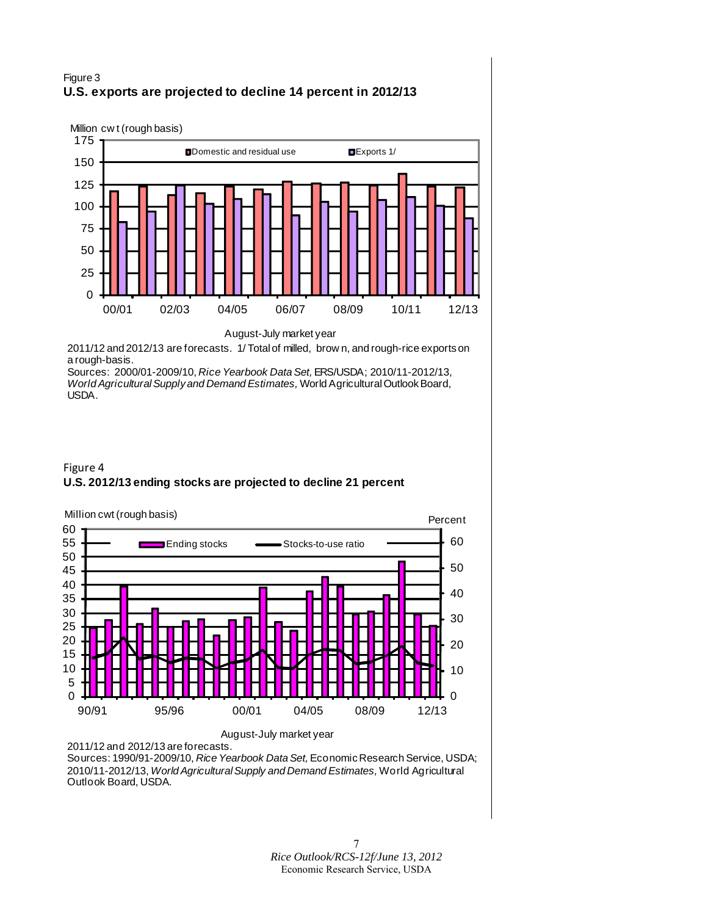### Figure 3 **U.S. exports are projected to decline 14 percent in 2012/13**



August-July market year

2011/12 and 2012/13 are forecasts. 1/ Total of milled, brow n, and rough-rice exports on a rough-basis.

Sources: 2000/01-2009/10, *Rice Yearbook Data Set,* ERS/USDA; 2010/11-2012/13, *World Agricultural Supply and Demand Estimates,* World Agricultural Outlook Board, USDA.





2011/12 and 2012/13 are forecasts.

Sources: 1990/91-2009/10, *Rice Yearbook Data Set,* Economic Research Service, USDA; 2010/11-2012/13, *World Agricultural Supply and Demand Estimates,* World Agricultural Outlook Board, USDA.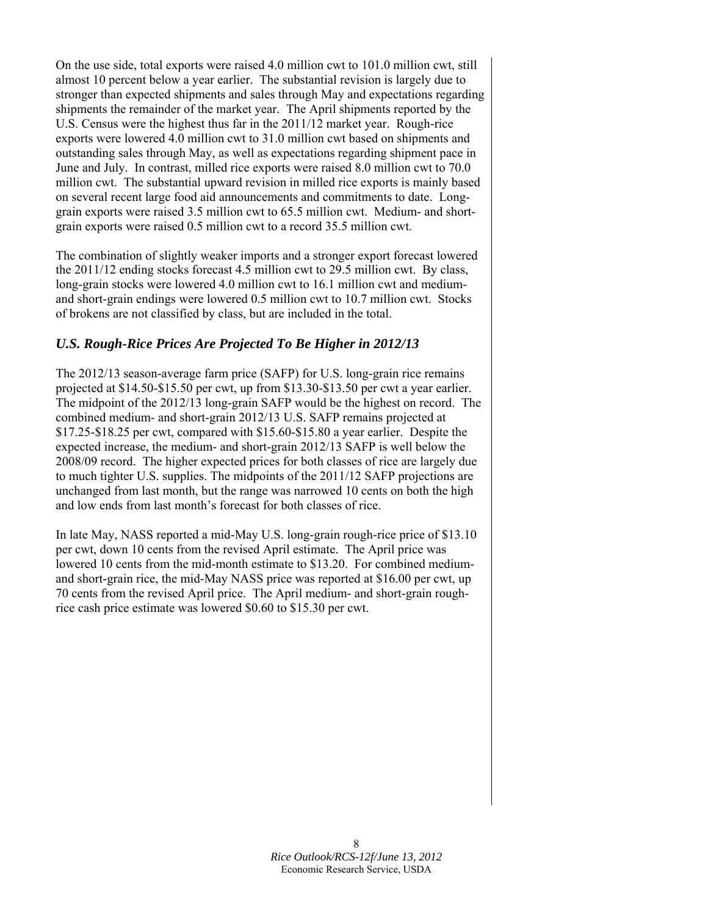On the use side, total exports were raised 4.0 million cwt to 101.0 million cwt, still almost 10 percent below a year earlier. The substantial revision is largely due to stronger than expected shipments and sales through May and expectations regarding shipments the remainder of the market year. The April shipments reported by the U.S. Census were the highest thus far in the 2011/12 market year. Rough-rice exports were lowered 4.0 million cwt to 31.0 million cwt based on shipments and outstanding sales through May, as well as expectations regarding shipment pace in June and July. In contrast, milled rice exports were raised 8.0 million cwt to 70.0 million cwt. The substantial upward revision in milled rice exports is mainly based on several recent large food aid announcements and commitments to date. Longgrain exports were raised 3.5 million cwt to 65.5 million cwt. Medium- and shortgrain exports were raised 0.5 million cwt to a record 35.5 million cwt.

The combination of slightly weaker imports and a stronger export forecast lowered the 2011/12 ending stocks forecast 4.5 million cwt to 29.5 million cwt. By class, long-grain stocks were lowered 4.0 million cwt to 16.1 million cwt and mediumand short-grain endings were lowered 0.5 million cwt to 10.7 million cwt. Stocks of brokens are not classified by class, but are included in the total.

# *U.S. Rough-Rice Prices Are Projected To Be Higher in 2012/13*

The 2012/13 season-average farm price (SAFP) for U.S. long-grain rice remains projected at \$14.50-\$15.50 per cwt, up from \$13.30-\$13.50 per cwt a year earlier. The midpoint of the 2012/13 long-grain SAFP would be the highest on record. The combined medium- and short-grain 2012/13 U.S. SAFP remains projected at \$17.25-\$18.25 per cwt, compared with \$15.60-\$15.80 a year earlier. Despite the expected increase, the medium- and short-grain 2012/13 SAFP is well below the 2008/09 record. The higher expected prices for both classes of rice are largely due to much tighter U.S. supplies. The midpoints of the 2011/12 SAFP projections are unchanged from last month, but the range was narrowed 10 cents on both the high and low ends from last month's forecast for both classes of rice.

In late May, NASS reported a mid-May U.S. long-grain rough-rice price of \$13.10 per cwt, down 10 cents from the revised April estimate. The April price was lowered 10 cents from the mid-month estimate to \$13.20. For combined mediumand short-grain rice, the mid-May NASS price was reported at \$16.00 per cwt, up 70 cents from the revised April price. The April medium- and short-grain roughrice cash price estimate was lowered \$0.60 to \$15.30 per cwt.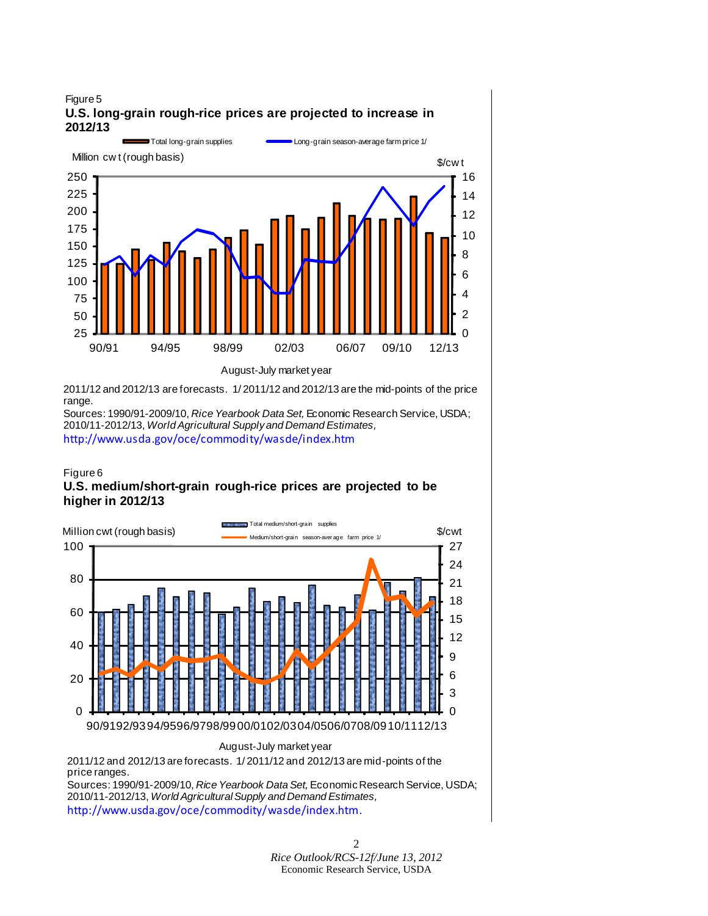

2011/12 and 2012/13 are forecasts. 1/ 2011/12 and 2012/13 are the mid-points of the price range.

Sources: 1990/91-2009/10, *Rice Yearbook Data Set,* Economic Research Service, USDA; 2010/11-2012/13, *World Agricultural Supply and Demand Estimates,*  <http://www.usda.gov/oce/commodity/wasde/index.htm>

### Figure 6 **U.S. medium/short-grain rough-rice prices are projected to be higher in 2012/13**



Sources: 1990/91-2009/10, *Rice Yearbook Data Set,* Economic Research Service, USDA; 2010/11-2012/13, *World Agricultural Supply and Demand Estimates,* <http://www.usda.gov/oce/commodity/wasde/index.htm>.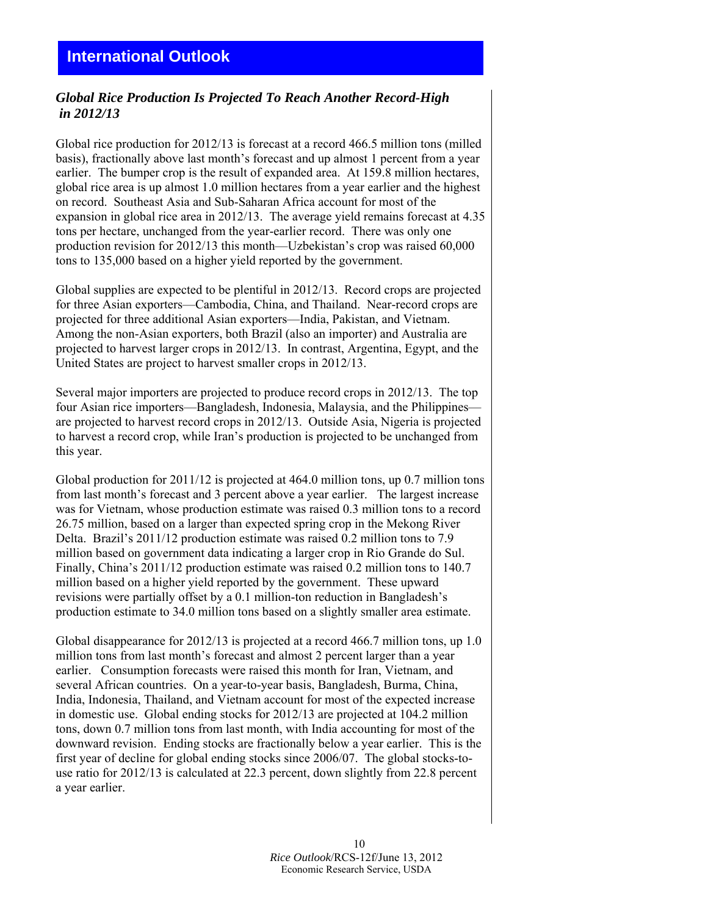# <span id="page-9-0"></span>*Global Rice Production Is Projected To Reach Another Record-High in 2012/13*

Global rice production for 2012/13 is forecast at a record 466.5 million tons (milled basis), fractionally above last month's forecast and up almost 1 percent from a year earlier. The bumper crop is the result of expanded area. At 159.8 million hectares, global rice area is up almost 1.0 million hectares from a year earlier and the highest on record. Southeast Asia and Sub-Saharan Africa account for most of the expansion in global rice area in 2012/13. The average yield remains forecast at 4.35 tons per hectare, unchanged from the year-earlier record. There was only one production revision for 2012/13 this month—Uzbekistan's crop was raised 60,000 tons to 135,000 based on a higher yield reported by the government.

Global supplies are expected to be plentiful in 2012/13. Record crops are projected for three Asian exporters—Cambodia, China, and Thailand. Near-record crops are projected for three additional Asian exporters—India, Pakistan, and Vietnam. Among the non-Asian exporters, both Brazil (also an importer) and Australia are projected to harvest larger crops in 2012/13. In contrast, Argentina, Egypt, and the United States are project to harvest smaller crops in 2012/13.

Several major importers are projected to produce record crops in 2012/13. The top four Asian rice importers—Bangladesh, Indonesia, Malaysia, and the Philippines are projected to harvest record crops in 2012/13. Outside Asia, Nigeria is projected to harvest a record crop, while Iran's production is projected to be unchanged from this year.

Global production for 2011/12 is projected at 464.0 million tons, up 0.7 million tons from last month's forecast and 3 percent above a year earlier. The largest increase was for Vietnam, whose production estimate was raised 0.3 million tons to a record 26.75 million, based on a larger than expected spring crop in the Mekong River Delta. Brazil's 2011/12 production estimate was raised 0.2 million tons to 7.9 million based on government data indicating a larger crop in Rio Grande do Sul. Finally, China's 2011/12 production estimate was raised 0.2 million tons to 140.7 million based on a higher yield reported by the government. These upward revisions were partially offset by a 0.1 million-ton reduction in Bangladesh's production estimate to 34.0 million tons based on a slightly smaller area estimate.

Global disappearance for 2012/13 is projected at a record 466.7 million tons, up 1.0 million tons from last month's forecast and almost 2 percent larger than a year earlier. Consumption forecasts were raised this month for Iran, Vietnam, and several African countries. On a year-to-year basis, Bangladesh, Burma, China, India, Indonesia, Thailand, and Vietnam account for most of the expected increase in domestic use. Global ending stocks for 2012/13 are projected at 104.2 million tons, down 0.7 million tons from last month, with India accounting for most of the downward revision. Ending stocks are fractionally below a year earlier. This is the first year of decline for global ending stocks since 2006/07. The global stocks-touse ratio for 2012/13 is calculated at 22.3 percent, down slightly from 22.8 percent a year earlier.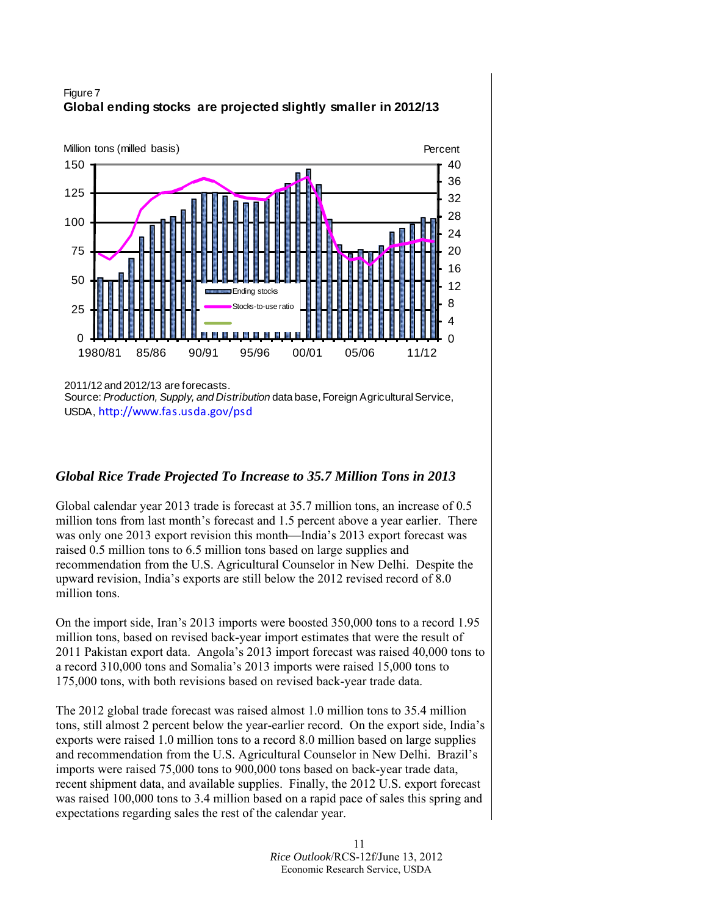

# Figure 7 **Global ending stocks are projected slightly smaller in 2012/13**

2011/12 and 2012/13 are forecasts.

Source: *Production, Supply, and Distribution* data base, Foreign Agricultural Service, USDA, [http://www.fas.usda.gov/psd](http://www.fas.usda.gov/psdonline)

### *Global Rice Trade Projected To Increase to 35.7 Million Tons in 2013*

Global calendar year 2013 trade is forecast at 35.7 million tons, an increase of 0.5 million tons from last month's forecast and 1.5 percent above a year earlier. There was only one 2013 export revision this month—India's 2013 export forecast was raised 0.5 million tons to 6.5 million tons based on large supplies and recommendation from the U.S. Agricultural Counselor in New Delhi. Despite the upward revision, India's exports are still below the 2012 revised record of 8.0 million tons.

On the import side, Iran's 2013 imports were boosted 350,000 tons to a record 1.95 million tons, based on revised back-year import estimates that were the result of 2011 Pakistan export data. Angola's 2013 import forecast was raised 40,000 tons to a record 310,000 tons and Somalia's 2013 imports were raised 15,000 tons to 175,000 tons, with both revisions based on revised back-year trade data.

The 2012 global trade forecast was raised almost 1.0 million tons to 35.4 million tons, still almost 2 percent below the year-earlier record. On the export side, India's exports were raised 1.0 million tons to a record 8.0 million based on large supplies and recommendation from the U.S. Agricultural Counselor in New Delhi. Brazil's imports were raised 75,000 tons to 900,000 tons based on back-year trade data, recent shipment data, and available supplies. Finally, the 2012 U.S. export forecast was raised 100,000 tons to 3.4 million based on a rapid pace of sales this spring and expectations regarding sales the rest of the calendar year.

> 11 *Rice Outlook*/RCS-12f/June 13, 2012 Economic Research Service, USDA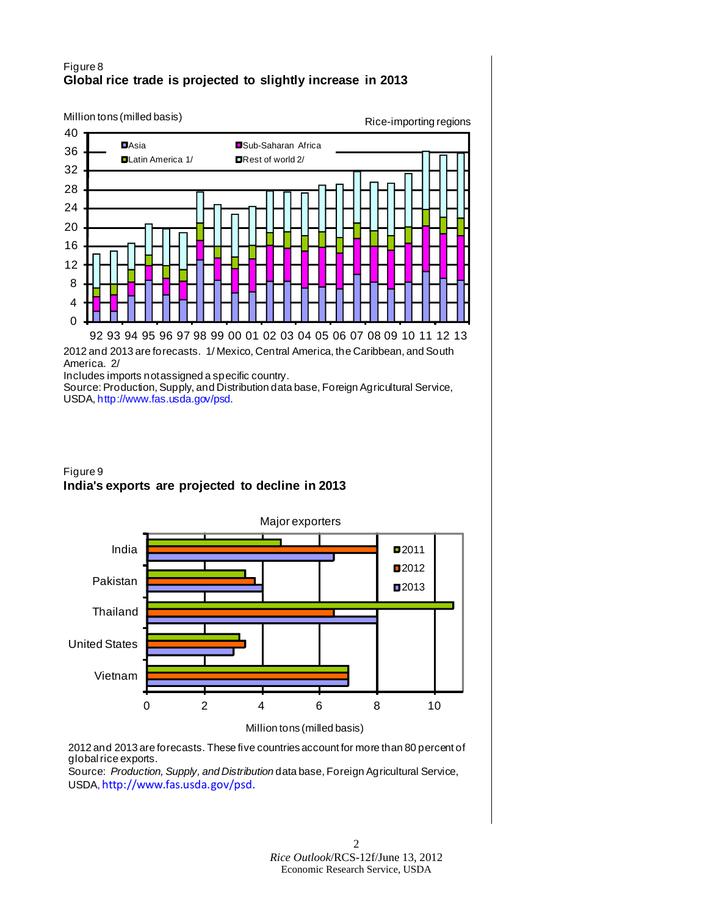### Figure 8 **Global rice trade is projected to slightly increase in 2013**



America. 2/

Includes imports not assigned a specific country.

Source: Production, Supply, and Distribution data base, Foreign Agricultural Service, USDA, [http://www.fas.usda.gov/psd.](http://www.fas.usda.gov/psdonline)

# Figure 9 **India's exports are projected to decline in 2013**



2012 and 2013 are forecasts. These five countries account for more than 80 percent of global rice exports.

Source: *Production, Supply, and Distribution* data base, Foreign Agricultural Service, USDA, [http://www.fas.usda.gov/psd](http://www.fas.usda.gov/psdonline).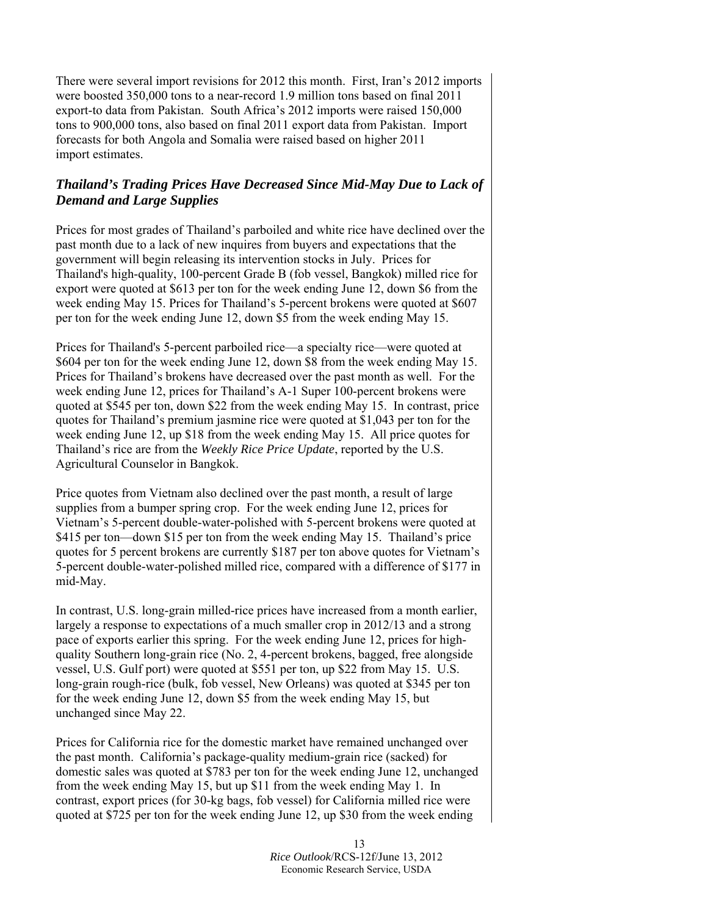There were several import revisions for 2012 this month. First, Iran's 2012 imports were boosted 350,000 tons to a near-record 1.9 million tons based on final 2011 export-to data from Pakistan. South Africa's 2012 imports were raised 150,000 tons to 900,000 tons, also based on final 2011 export data from Pakistan. Import forecasts for both Angola and Somalia were raised based on higher 2011 import estimates.

### *Thailand's Trading Prices Have Decreased Since Mid-May Due to Lack of Demand and Large Supplies*

Prices for most grades of Thailand's parboiled and white rice have declined over the past month due to a lack of new inquires from buyers and expectations that the government will begin releasing its intervention stocks in July. Prices for Thailand's high-quality, 100-percent Grade B (fob vessel, Bangkok) milled rice for export were quoted at \$613 per ton for the week ending June 12, down \$6 from the week ending May 15. Prices for Thailand's 5-percent brokens were quoted at \$607 per ton for the week ending June 12, down \$5 from the week ending May 15.

Prices for Thailand's 5-percent parboiled rice—a specialty rice—were quoted at \$604 per ton for the week ending June 12, down \$8 from the week ending May 15. Prices for Thailand's brokens have decreased over the past month as well. For the week ending June 12, prices for Thailand's A-1 Super 100-percent brokens were quoted at \$545 per ton, down \$22 from the week ending May 15. In contrast, price quotes for Thailand's premium jasmine rice were quoted at \$1,043 per ton for the week ending June 12, up \$18 from the week ending May 15. All price quotes for Thailand's rice are from the *Weekly Rice Price Update*, reported by the U.S. Agricultural Counselor in Bangkok.

Price quotes from Vietnam also declined over the past month, a result of large supplies from a bumper spring crop. For the week ending June 12, prices for Vietnam's 5-percent double-water-polished with 5-percent brokens were quoted at \$415 per ton—down \$15 per ton from the week ending May 15. Thailand's price quotes for 5 percent brokens are currently \$187 per ton above quotes for Vietnam's 5-percent double-water-polished milled rice, compared with a difference of \$177 in mid-May.

In contrast, U.S. long-grain milled-rice prices have increased from a month earlier, largely a response to expectations of a much smaller crop in 2012/13 and a strong pace of exports earlier this spring. For the week ending June 12, prices for highquality Southern long-grain rice (No. 2, 4-percent brokens, bagged, free alongside vessel, U.S. Gulf port) were quoted at \$551 per ton, up \$22 from May 15. U.S. long-grain rough-rice (bulk, fob vessel, New Orleans) was quoted at \$345 per ton for the week ending June 12, down \$5 from the week ending May 15, but unchanged since May 22.

Prices for California rice for the domestic market have remained unchanged over the past month. California's package-quality medium-grain rice (sacked) for domestic sales was quoted at \$783 per ton for the week ending June 12, unchanged from the week ending May 15, but up \$11 from the week ending May 1. In contrast, export prices (for 30-kg bags, fob vessel) for California milled rice were quoted at \$725 per ton for the week ending June 12, up \$30 from the week ending

> 13 *Rice Outlook*/RCS-12f/June 13, 2012 Economic Research Service, USDA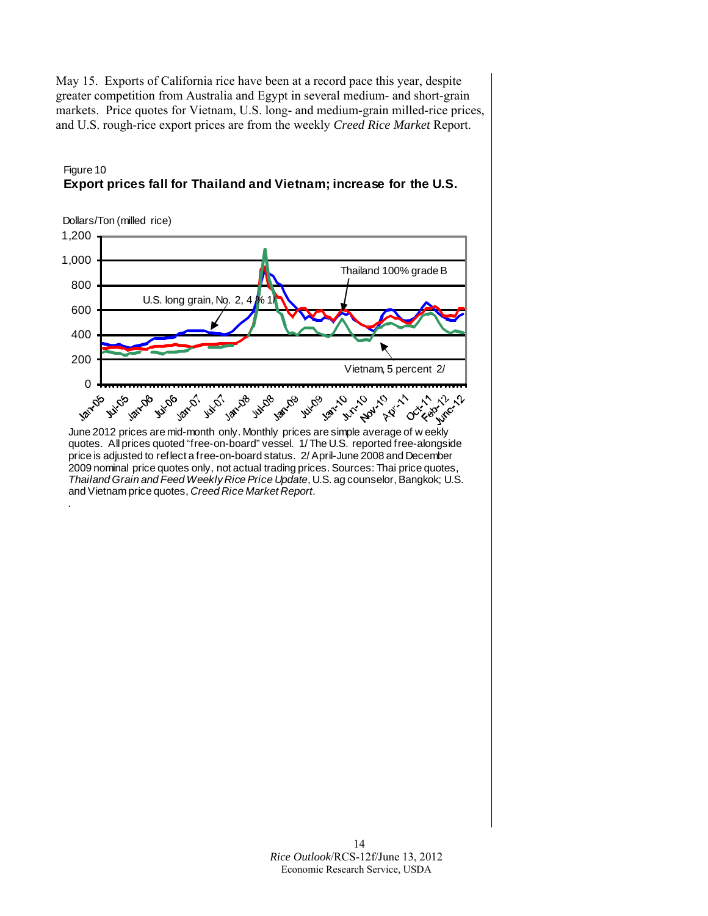May 15. Exports of California rice have been at a record pace this year, despite greater competition from Australia and Egypt in several medium- and short-grain markets. Price quotes for Vietnam, U.S. long- and medium-grain milled-rice prices, and U.S. rough-rice export prices are from the weekly *Creed Rice Market* Report.



### Figure 10 **Export prices fall for Thailand and Vietnam; increase for the U.S.**

quotes. All prices quoted "free-on-board" vessel. 1/ The U.S. reported free-alongside price is adjusted to reflect a free-on-board status. 2/ April-June 2008 and December 2009 nominal price quotes only, not actual trading prices. Sources: Thai price quotes, *Thailand Grain and Feed Weekly Rice Price Update*, U.S. ag counselor, Bangkok; U.S. and Vietnam price quotes, *Creed Rice Market Report*. *.*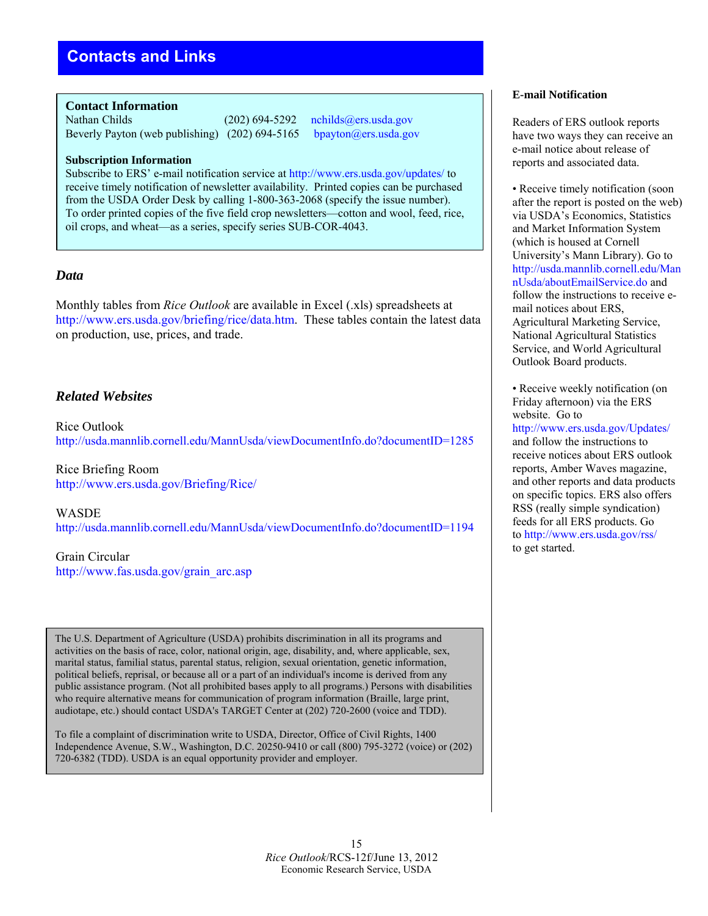<span id="page-14-0"></span>**Contact Information** 

Nathan Childs (202) 694-5292 [nchilds@ers.usda.gov](mailto:nchilds@ers.usda.gov)<br>Beverly Payton (web publishing) (202) 694-5165 bpayton@ers.usda.gov Beverly Payton (web publishing)  $(202)$  694-5165

### **Subscription Information**

Subscribe to ERS' e-mail notification service a[t http://www.ers.usda.gov/updates/ t](http://www.ers.usda.gov/updates/)o receive timely notification of newsletter availability. Printed copies can be purchased from the USDA Order Desk by calling 1-800-363-2068 (specify the issue number). To order printed copies of the five field crop newsletters—cotton and wool, feed, rice, oil crops, and wheat—as a series, specify series SUB-COR-4043.

### *Data*

Monthly tables from *Rice Outlook* are available in Excel (.xls) spreadsheets at [http://www.ers.usda.gov/briefing/rice/data.htm.](http://www.ers.usda.gov/briefing/rice/data.htm) These tables contain the latest data on production, use, prices, and trade.

# *Related Websites*

Rice Outlook <http://usda.mannlib.cornell.edu/MannUsda/viewDocumentInfo.do?documentID=1285>

Rice Briefing Room <http://www.ers.usda.gov/Briefing/Rice/>

WASDE <http://usda.mannlib.cornell.edu/MannUsda/viewDocumentInfo.do?documentID=1194>

Grain Circular [http://www.fas.usda.gov/grain\\_arc.asp](http://www.fas.usda.gov/grain_arc.asp) 

The U.S. Department of Agriculture (USDA) prohibits discrimination in all its programs and activities on the basis of race, color, national origin, age, disability, and, where applicable, sex, marital status, familial status, parental status, religion, sexual orientation, genetic information, political beliefs, reprisal, or because all or a part of an individual's income is derived from any public assistance program. (Not all prohibited bases apply to all programs.) Persons with disabilities who require alternative means for communication of program information (Braille, large print, audiotape, etc.) should contact USDA's TARGET Center at (202) 720-2600 (voice and TDD).

To file a complaint of discrimination write to USDA, Director, Office of Civil Rights, 1400 Independence Avenue, S.W., Washington, D.C. 20250-9410 or call (800) 795-3272 (voice) or (202) 720-6382 (TDD). USDA is an equal opportunity provider and employer.

### **E-mail Notification**

Readers of ERS outlook reports have two ways they can receive an e-mail notice about release of reports and associated data.

• Receive timely notification (soon after the report is posted on the web) via USDA's Economics, Statistics and Market Information System (which is housed at Cornell University's Mann Library). Go to [http://usda.mannlib.cornell.edu/Man](http://usda.mannlib.cornell.edu/MannUsda/aboutEmailService.do) [nUsda/aboutEmailService.do](http://usda.mannlib.cornell.edu/MannUsda/aboutEmailService.do) and follow the instructions to receive email notices about ERS, Agricultural Marketing Service, National Agricultural Statistics Service, and World Agricultural Outlook Board products.

• Receive weekly notification (on Friday afternoon) via the ERS website. Go to <http://www.ers.usda.gov/Updates/> and follow the instructions to receive notices about ERS outlook reports, Amber Waves magazine, and other reports and data products on specific topics. ERS also offers RSS (really simple syndication) feeds for all ERS products. Go to <http://www.ers.usda.gov/rss/> to get started.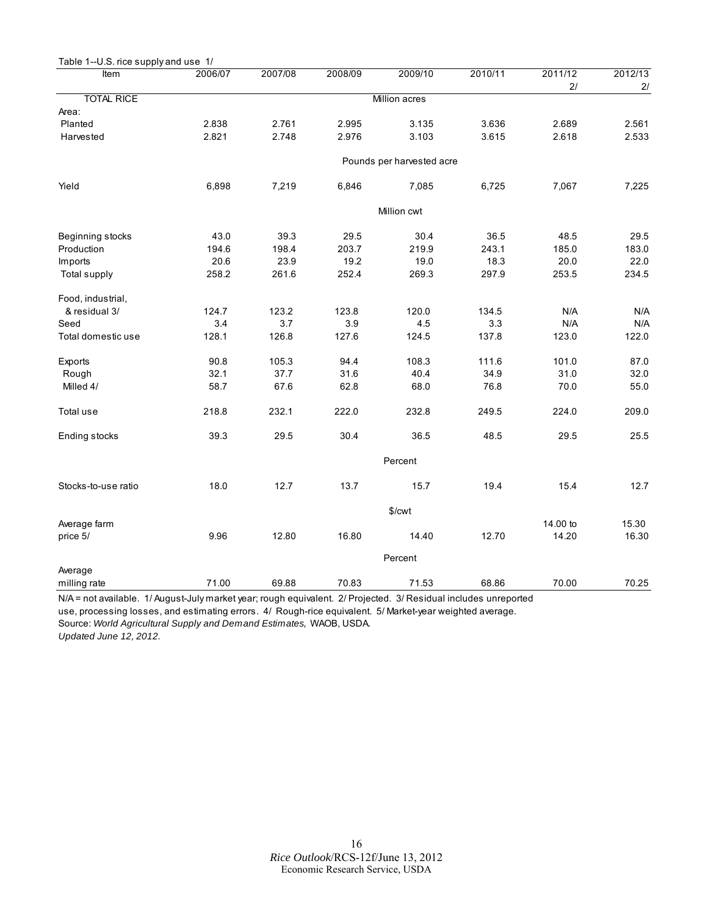<span id="page-15-0"></span>

| Table 1--U.S. rice supply and use 1/ |         |         |         |                           |         |               |               |
|--------------------------------------|---------|---------|---------|---------------------------|---------|---------------|---------------|
| Item                                 | 2006/07 | 2007/08 | 2008/09 | 2009/10                   | 2010/11 | 2011/12<br>21 | 2012/13<br>2/ |
| <b>TOTAL RICE</b>                    |         |         |         | Million acres             |         |               |               |
| Area:                                |         |         |         |                           |         |               |               |
| Planted                              | 2.838   | 2.761   | 2.995   | 3.135                     | 3.636   | 2.689         | 2.561         |
| Harvested                            | 2.821   | 2.748   | 2.976   | 3.103                     | 3.615   | 2.618         | 2.533         |
|                                      |         |         |         | Pounds per harvested acre |         |               |               |
| Yield                                | 6,898   | 7,219   | 6,846   | 7,085                     | 6,725   | 7,067         | 7,225         |
|                                      |         |         |         | Million cwt               |         |               |               |
| Beginning stocks                     | 43.0    | 39.3    | 29.5    | 30.4                      | 36.5    | 48.5          | 29.5          |
| Production                           | 194.6   | 198.4   | 203.7   | 219.9                     | 243.1   | 185.0         | 183.0         |
| Imports                              | 20.6    | 23.9    | 19.2    | 19.0                      | 18.3    | 20.0          | 22.0          |
| Total supply                         | 258.2   | 261.6   | 252.4   | 269.3                     | 297.9   | 253.5         | 234.5         |
| Food, industrial,                    |         |         |         |                           |         |               |               |
| & residual 3/                        | 124.7   | 123.2   | 123.8   | 120.0                     | 134.5   | N/A           | N/A           |
| Seed                                 | 3.4     | 3.7     | 3.9     | 4.5                       | 3.3     | N/A           | N/A           |
| Total domestic use                   | 128.1   | 126.8   | 127.6   | 124.5                     | 137.8   | 123.0         | 122.0         |
| Exports                              | 90.8    | 105.3   | 94.4    | 108.3                     | 111.6   | 101.0         | 87.0          |
| Rough                                | 32.1    | 37.7    | 31.6    | 40.4                      | 34.9    | 31.0          | 32.0          |
| Milled 4/                            | 58.7    | 67.6    | 62.8    | 68.0                      | 76.8    | 70.0          | 55.0          |
| Total use                            | 218.8   | 232.1   | 222.0   | 232.8                     | 249.5   | 224.0         | 209.0         |
| Ending stocks                        | 39.3    | 29.5    | 30.4    | 36.5                      | 48.5    | 29.5          | 25.5          |
|                                      |         |         |         | Percent                   |         |               |               |
| Stocks-to-use ratio                  | 18.0    | 12.7    | 13.7    | 15.7                      | 19.4    | 15.4          | 12.7          |
|                                      |         |         |         | \$/cwt                    |         |               |               |
| Average farm                         |         |         |         |                           |         | 14.00 to      | 15.30         |
| price 5/                             | 9.96    | 12.80   | 16.80   | 14.40                     | 12.70   | 14.20         | 16.30         |
|                                      |         |         |         | Percent                   |         |               |               |
| Average                              |         |         |         |                           |         |               |               |
| milling rate                         | 71.00   | 69.88   | 70.83   | 71.53                     | 68.86   | 70.00         | 70.25         |

N/A = not available. 1/ August-July market year; rough equivalent. 2/ Projected. 3/ Residual includes unreported use, processing losses, and estimating errors. 4/ Rough-rice equivalent. 5/ Market-year weighted average.

Source: *World Agricultural Supply and Demand Estimates,* WAOB, USDA.

*Updated June 12, 2012.*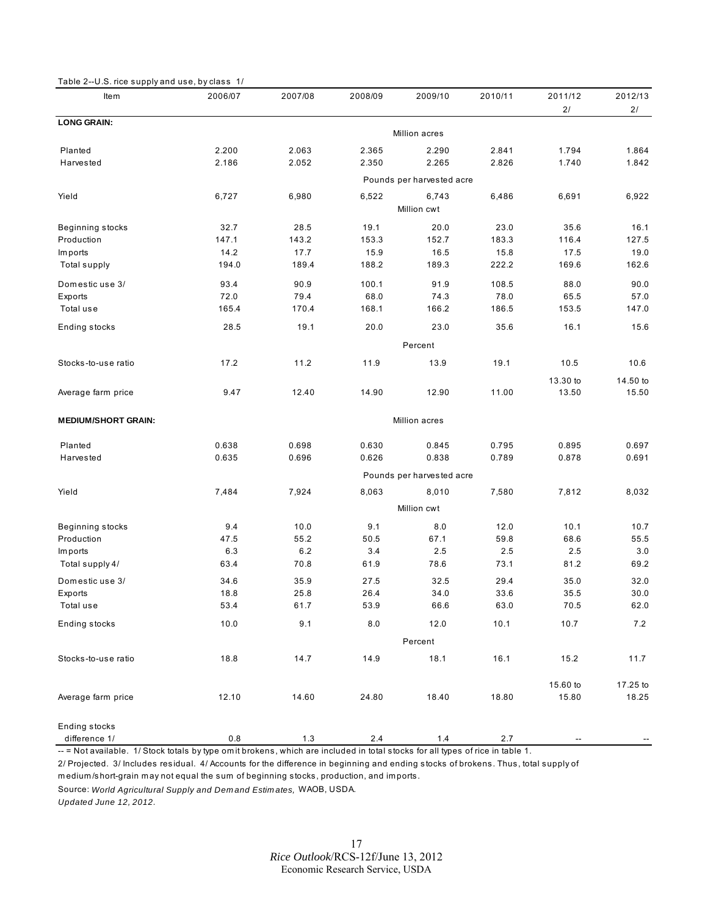<span id="page-16-0"></span>

| <b>Item</b>                | 2006/07 | 2007/08 | 2008/09 | 2009/10                   | 2010/11 | 2011/12  | 2012/13  |
|----------------------------|---------|---------|---------|---------------------------|---------|----------|----------|
|                            |         |         |         |                           |         | 2/       | 2/       |
| <b>LONG GRAIN:</b>         |         |         |         | Million acres             |         |          |          |
| Planted                    | 2.200   | 2.063   | 2.365   | 2.290                     | 2.841   | 1.794    | 1.864    |
| Harvested                  | 2.186   | 2.052   | 2.350   | 2.265                     | 2.826   | 1.740    | 1.842    |
|                            |         |         |         | Pounds per harvested acre |         |          |          |
| Yield                      | 6,727   | 6,980   | 6,522   | 6,743                     | 6,486   | 6,691    | 6,922    |
|                            |         |         |         | Million cwt               |         |          |          |
| Beginning stocks           | 32.7    | 28.5    | 19.1    | 20.0                      | 23.0    | 35.6     | 16.1     |
| Production                 | 147.1   | 143.2   | 153.3   | 152.7                     | 183.3   | 116.4    | 127.5    |
| Im ports                   | 14.2    | 17.7    | 15.9    | 16.5                      | 15.8    | 17.5     | 19.0     |
| Total supply               | 194.0   | 189.4   | 188.2   | 189.3                     | 222.2   | 169.6    | 162.6    |
| Domestic use 3/            | 93.4    | 90.9    | 100.1   | 91.9                      | 108.5   | 88.0     | 90.0     |
| Exports                    | 72.0    | 79.4    | 68.0    | 74.3                      | 78.0    | 65.5     | 57.0     |
| Total use                  | 165.4   | 170.4   | 168.1   | 166.2                     | 186.5   | 153.5    | 147.0    |
| Ending stocks              | 28.5    | 19.1    | 20.0    | 23.0                      | 35.6    | 16.1     | 15.6     |
|                            |         |         |         | Percent                   |         |          |          |
| Stocks-to-use ratio        | 17.2    | 11.2    | 11.9    | 13.9                      | 19.1    | 10.5     | 10.6     |
|                            |         |         |         |                           |         | 13.30 to | 14.50 to |
| Average farm price         | 9.47    | 12.40   | 14.90   | 12.90                     | 11.00   | 13.50    | 15.50    |
| <b>MEDIUM/SHORT GRAIN:</b> |         |         |         | Million acres             |         |          |          |
| Planted                    | 0.638   | 0.698   | 0.630   | 0.845                     | 0.795   | 0.895    | 0.697    |
| Harvested                  | 0.635   | 0.696   | 0.626   | 0.838                     | 0.789   | 0.878    | 0.691    |
|                            |         |         |         | Pounds per harvested acre |         |          |          |
| Yield                      | 7,484   | 7,924   | 8,063   | 8,010                     | 7,580   | 7,812    | 8,032    |
|                            |         |         |         | Million cwt               |         |          |          |
| Beginning stocks           | 9.4     | 10.0    | 9.1     | 8.0                       | 12.0    | 10.1     | 10.7     |
| Production                 | 47.5    | 55.2    | 50.5    | 67.1                      | 59.8    | 68.6     | 55.5     |
| Im ports                   | 6.3     | 6.2     | 3.4     | 2.5                       | 2.5     | 2.5      | 3.0      |
| Total supply 4/            | 63.4    | 70.8    | 61.9    | 78.6                      | 73.1    | 81.2     | 69.2     |
| Domestic use 3/            | 34.6    | 35.9    | 27.5    | 32.5                      | 29.4    | 35.0     | 32.0     |
| Exports                    | 18.8    | 25.8    | 26.4    | 34.0                      | 33.6    | 35.5     | 30.0     |
| Total use                  | 53.4    | 61.7    | 53.9    | 66.6                      | 63.0    | 70.5     | 62.0     |
| Ending stocks              | 10.0    | 9.1     | $8.0\,$ | 12.0                      | 10.1    | 10.7     | $7.2\,$  |
|                            |         |         |         | Percent                   |         |          |          |
| Stocks-to-use ratio        | 18.8    | 14.7    | 14.9    | 18.1                      | 16.1    | 15.2     | 11.7     |
|                            |         |         |         |                           |         | 15.60 to | 17.25 to |
| Average farm price         | 12.10   | 14.60   | 24.80   | 18.40                     | 18.80   | 15.80    | 18.25    |
| Ending stocks              |         |         |         |                           |         |          |          |
| difference 1/              | $0.8\,$ | $1.3$   | $2.4\,$ | $1.4$                     | $2.7\,$ |          |          |

-- = Not available. 1/ Stock totals by type om it brokens, which are included in total stocks for all types of rice in table 1.

2/ Projected. 3/ Includes residual. 4/ Accounts for the difference in beginning and ending stocks of brokens. Thus, total supply of m edium /short-grain m ay not equal the sum of beginning stocks, production, and im ports.

Source: *World Agricultural Supply and Dem and Estim ates,* WAOB, USDA.

*Updated June 12, 2012.*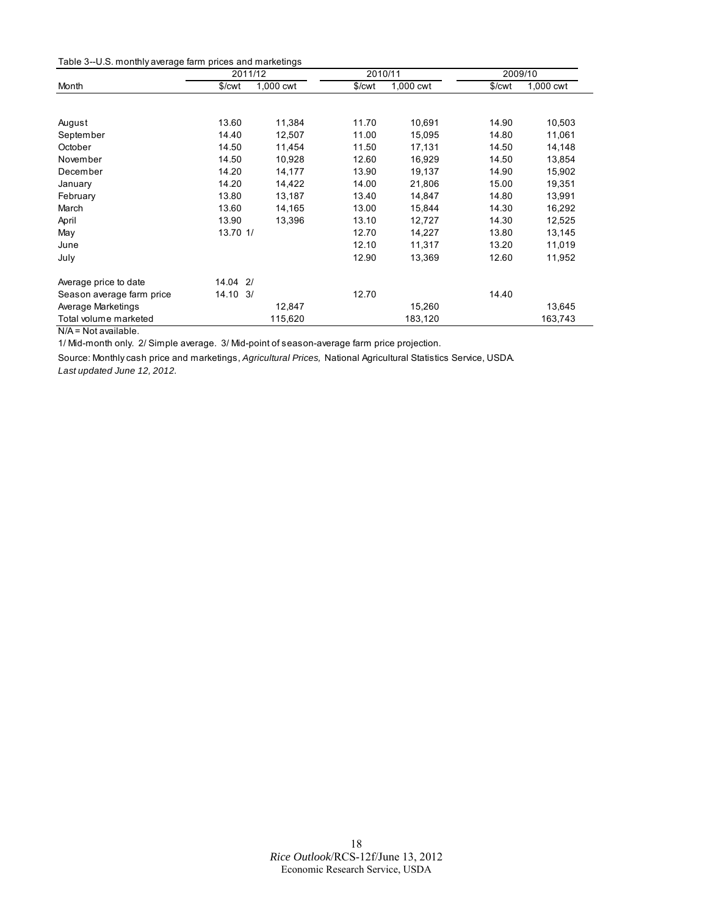<span id="page-17-0"></span>

| Table 3--U.S. monthly average farm prices and marketings |  |  |
|----------------------------------------------------------|--|--|
|----------------------------------------------------------|--|--|

|                           | 2011/12             |           |        | 2010/11   |        | 2009/10   |
|---------------------------|---------------------|-----------|--------|-----------|--------|-----------|
| Month                     | \$/cwt              | 1,000 cwt | \$/cwt | 1,000 cwt | \$/cwt | 1,000 cwt |
|                           |                     |           |        |           |        |           |
| August                    | 13.60               | 11,384    | 11.70  | 10,691    | 14.90  | 10,503    |
| September                 | 14.40               | 12,507    | 11.00  | 15,095    | 14.80  | 11,061    |
| October                   | 14.50               | 11,454    | 11.50  | 17,131    | 14.50  | 14,148    |
| November                  | 14.50               | 10,928    | 12.60  | 16,929    | 14.50  | 13,854    |
| December                  | 14.20               | 14,177    | 13.90  | 19,137    | 14.90  | 15,902    |
| January                   | 14.20               | 14,422    | 14.00  | 21,806    | 15.00  | 19,351    |
| February                  | 13.80               | 13,187    | 13.40  | 14,847    | 14.80  | 13,991    |
| March                     | 13.60               | 14,165    | 13.00  | 15,844    | 14.30  | 16,292    |
| April                     | 13.90               | 13,396    | 13.10  | 12,727    | 14.30  | 12,525    |
| May                       | 13.70 1/            |           | 12.70  | 14,227    | 13.80  | 13,145    |
| June                      |                     |           | 12.10  | 11,317    | 13.20  | 11,019    |
| July                      |                     |           | 12.90  | 13,369    | 12.60  | 11,952    |
| Average price to date     | $14.04$ 2/          |           |        |           |        |           |
| Season average farm price | $14.10 \frac{3}{1}$ |           | 12.70  |           | 14.40  |           |
| Average Marketings        |                     | 12,847    |        | 15,260    |        | 13,645    |
| Total volume marketed     |                     | 115,620   |        | 183,120   |        | 163,743   |

N/A = Not available.

1/ Mid-month only. 2/ Simple average. 3/ Mid-point of season-average farm price projection.

Source: Monthly cash price and marketings, *Agricultural Prices,* National Agricultural Statistics Service, USDA. *Last updated June 12, 2012.*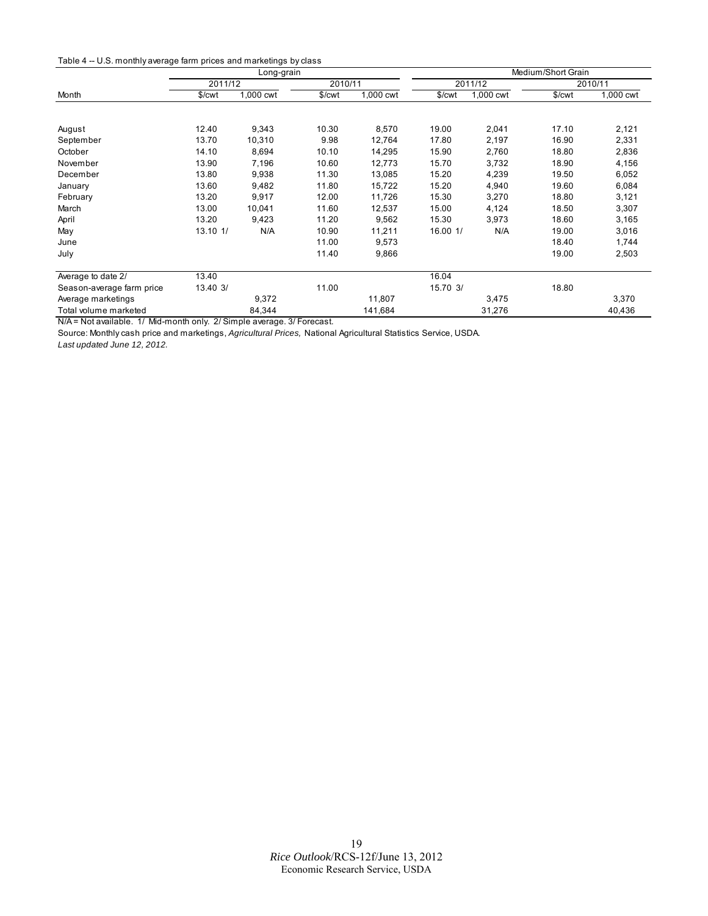<span id="page-18-0"></span>

|  | Table 4 -- U.S. monthly average farm prices and marketings by class |  |  |  |
|--|---------------------------------------------------------------------|--|--|--|
|--|---------------------------------------------------------------------|--|--|--|

|                           | Long-grain |           |         |           | Medium/Short Grain |           |        |           |
|---------------------------|------------|-----------|---------|-----------|--------------------|-----------|--------|-----------|
|                           | 2011/12    |           | 2010/11 |           |                    | 2011/12   |        | 2010/11   |
| Month                     | \$/cwt     | 1,000 cwt | \$/cwt  | 1,000 cwt | \$/cwt             | 1,000 cwt | \$/cwt | 1,000 cwt |
|                           |            |           |         |           |                    |           |        |           |
| August                    | 12.40      | 9,343     | 10.30   | 8,570     | 19.00              | 2,041     | 17.10  | 2,121     |
| September                 | 13.70      | 10,310    | 9.98    | 12,764    | 17.80              | 2,197     | 16.90  | 2,331     |
| October                   | 14.10      | 8,694     | 10.10   | 14,295    | 15.90              | 2,760     | 18.80  | 2,836     |
| November                  | 13.90      | 7,196     | 10.60   | 12,773    | 15.70              | 3,732     | 18.90  | 4,156     |
| December                  | 13.80      | 9,938     | 11.30   | 13,085    | 15.20              | 4,239     | 19.50  | 6,052     |
| January                   | 13.60      | 9,482     | 11.80   | 15,722    | 15.20              | 4,940     | 19.60  | 6,084     |
| February                  | 13.20      | 9,917     | 12.00   | 11,726    | 15.30              | 3,270     | 18.80  | 3,121     |
| March                     | 13.00      | 10,041    | 11.60   | 12,537    | 15.00              | 4,124     | 18.50  | 3,307     |
| April                     | 13.20      | 9,423     | 11.20   | 9,562     | 15.30              | 3,973     | 18.60  | 3,165     |
| May                       | 13.10 1/   | N/A       | 10.90   | 11,211    | 16.00 1/           | N/A       | 19.00  | 3,016     |
| June                      |            |           | 11.00   | 9,573     |                    |           | 18.40  | 1,744     |
| July                      |            |           | 11.40   | 9,866     |                    |           | 19.00  | 2,503     |
| Average to date 2/        | 13.40      |           |         |           | 16.04              |           |        |           |
| Season-average farm price | 13.40 3/   |           | 11.00   |           | 15.70 3/           |           | 18.80  |           |
| Average marketings        |            | 9,372     |         | 11,807    |                    | 3,475     |        | 3,370     |
| Total volume marketed     |            | 84,344    |         | 141,684   |                    | 31,276    |        | 40,436    |

N/A = Not available. 1/ Mid-month only. 2/ Simple average. 3/ Forecast.

Source: Monthly cash price and marketings, *Agricultural Prices,* National Agricultural Statistics Service, USDA.

*Last updated June 12, 2012.*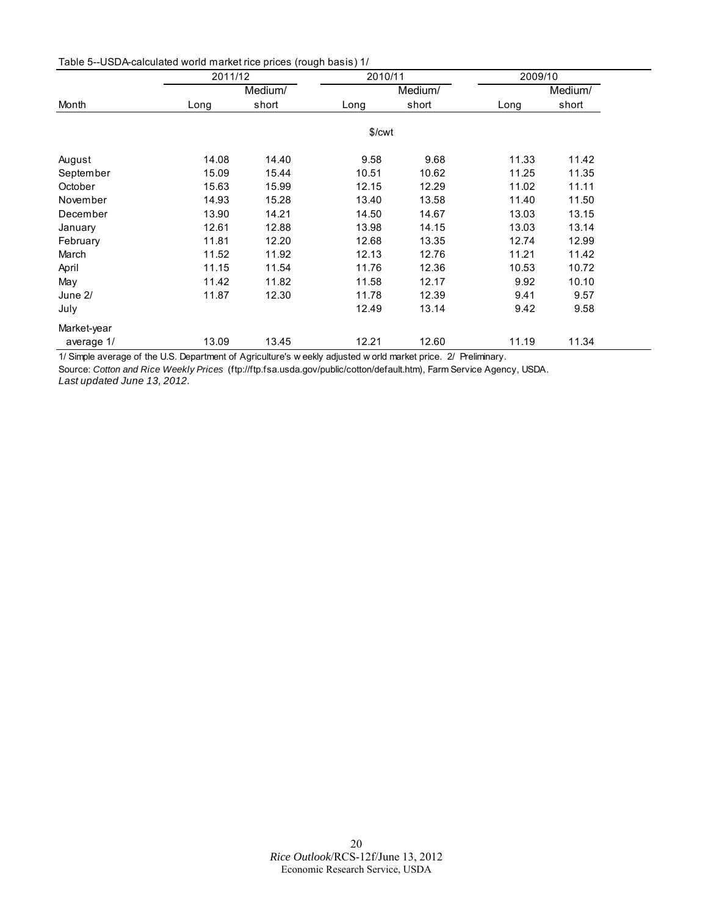<span id="page-19-0"></span>

| Table 5--USDA-calculated world market rice prices (rough basis) 1/ |  |  |
|--------------------------------------------------------------------|--|--|
|--------------------------------------------------------------------|--|--|

|             | 2011/12 |         | 2010/11 |         | 2009/10 |         |
|-------------|---------|---------|---------|---------|---------|---------|
|             |         | Medium/ |         | Medium/ |         | Medium/ |
| Month       | Long    | short   | Long    | short   | Long    | short   |
|             |         |         | \$/cwt  |         |         |         |
| August      | 14.08   | 14.40   | 9.58    | 9.68    | 11.33   | 11.42   |
| September   | 15.09   | 15.44   | 10.51   | 10.62   | 11.25   | 11.35   |
| October     | 15.63   | 15.99   | 12.15   | 12.29   | 11.02   | 11.11   |
| November    | 14.93   | 15.28   | 13.40   | 13.58   | 11.40   | 11.50   |
| December    | 13.90   | 14.21   | 14.50   | 14.67   | 13.03   | 13.15   |
| January     | 12.61   | 12.88   | 13.98   | 14.15   | 13.03   | 13.14   |
| February    | 11.81   | 12.20   | 12.68   | 13.35   | 12.74   | 12.99   |
| March       | 11.52   | 11.92   | 12.13   | 12.76   | 11.21   | 11.42   |
| April       | 11.15   | 11.54   | 11.76   | 12.36   | 10.53   | 10.72   |
| May         | 11.42   | 11.82   | 11.58   | 12.17   | 9.92    | 10.10   |
| June 2/     | 11.87   | 12.30   | 11.78   | 12.39   | 9.41    | 9.57    |
| July        |         |         | 12.49   | 13.14   | 9.42    | 9.58    |
| Market-year |         |         |         |         |         |         |
| average 1/  | 13.09   | 13.45   | 12.21   | 12.60   | 11.19   | 11.34   |

1/ Simple average of the U.S. Department of Agriculture's w eekly adjusted w orld market price. 2/ Preliminary.

Source: *Cotton and Rice Weekly Prices* (ftp://ftp.fsa.usda.gov/public/cotton/default.htm), Farm Service Agency, USDA. *Last updated June 13, 2012.*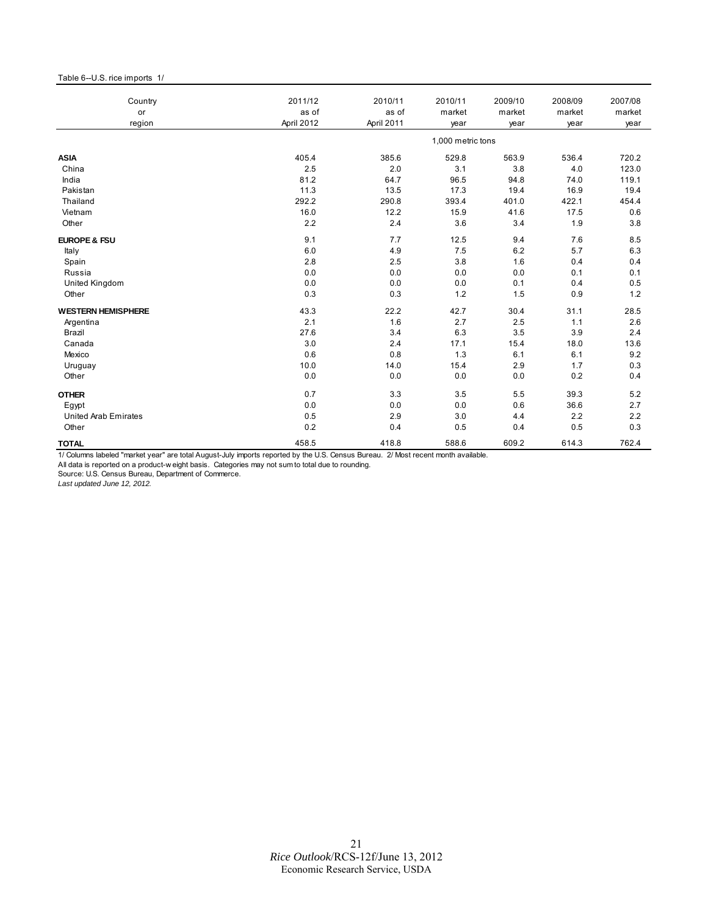### <span id="page-20-0"></span>Table 6--U.S. rice imports 1/

| Country                     | 2011/12    | 2010/11    | 2010/11           | 2009/10 | 2008/09 | 2007/08 |
|-----------------------------|------------|------------|-------------------|---------|---------|---------|
| or                          | as of      | as of      | market            | market  | market  | market  |
| region                      | April 2012 | April 2011 | year              | year    | year    | year    |
|                             |            |            | 1,000 metric tons |         |         |         |
| <b>ASIA</b>                 | 405.4      | 385.6      | 529.8             | 563.9   | 536.4   | 720.2   |
| China                       | 2.5        | 2.0        | 3.1               | 3.8     | 4.0     | 123.0   |
| India                       | 81.2       | 64.7       | 96.5              | 94.8    | 74.0    | 119.1   |
| Pakistan                    | 11.3       | 13.5       | 17.3              | 19.4    | 16.9    | 19.4    |
| Thailand                    | 292.2      | 290.8      | 393.4             | 401.0   | 422.1   | 454.4   |
| Vietnam                     | 16.0       | 12.2       | 15.9              | 41.6    | 17.5    | 0.6     |
| Other                       | 2.2        | 2.4        | 3.6               | 3.4     | 1.9     | 3.8     |
| <b>EUROPE &amp; FSU</b>     | 9.1        | 7.7        | 12.5              | 9.4     | 7.6     | 8.5     |
| Italy                       | 6.0        | 4.9        | 7.5               | 6.2     | 5.7     | 6.3     |
| Spain                       | 2.8        | 2.5        | 3.8               | 1.6     | 0.4     | 0.4     |
| Russia                      | 0.0        | 0.0        | 0.0               | 0.0     | 0.1     | 0.1     |
| United Kingdom              | 0.0        | 0.0        | 0.0               | 0.1     | 0.4     | 0.5     |
| Other                       | 0.3        | 0.3        | 1.2               | 1.5     | 0.9     | 1.2     |
| <b>WESTERN HEMISPHERE</b>   | 43.3       | 22.2       | 42.7              | 30.4    | 31.1    | 28.5    |
| Argentina                   | 2.1        | 1.6        | 2.7               | 2.5     | 1.1     | 2.6     |
| Brazil                      | 27.6       | 3.4        | 6.3               | 3.5     | 3.9     | 2.4     |
| Canada                      | 3.0        | 2.4        | 17.1              | 15.4    | 18.0    | 13.6    |
| Mexico                      | 0.6        | 0.8        | 1.3               | 6.1     | 6.1     | 9.2     |
| Uruguay                     | 10.0       | 14.0       | 15.4              | 2.9     | 1.7     | 0.3     |
| Other                       | 0.0        | 0.0        | 0.0               | 0.0     | 0.2     | 0.4     |
| <b>OTHER</b>                | 0.7        | 3.3        | 3.5               | 5.5     | 39.3    | 5.2     |
| Egypt                       | 0.0        | 0.0        | 0.0               | 0.6     | 36.6    | 2.7     |
| <b>United Arab Emirates</b> | 0.5        | 2.9        | 3.0               | 4.4     | 2.2     | 2.2     |
| Other                       | 0.2        | 0.4        | 0.5               | 0.4     | 0.5     | 0.3     |
| <b>TOTAL</b>                | 458.5      | 418.8      | 588.6             | 609.2   | 614.3   | 762.4   |

1/ Columns labeled "market year" are total August-July imports reported by the U.S. Census Bureau. 2/ Most recent month available.

All data is reported on a product-w eight basis. Categories may not sum to total due to rounding.

Source: U.S. Census Bureau, Department of Commerce. *Last updated June 12, 2012.*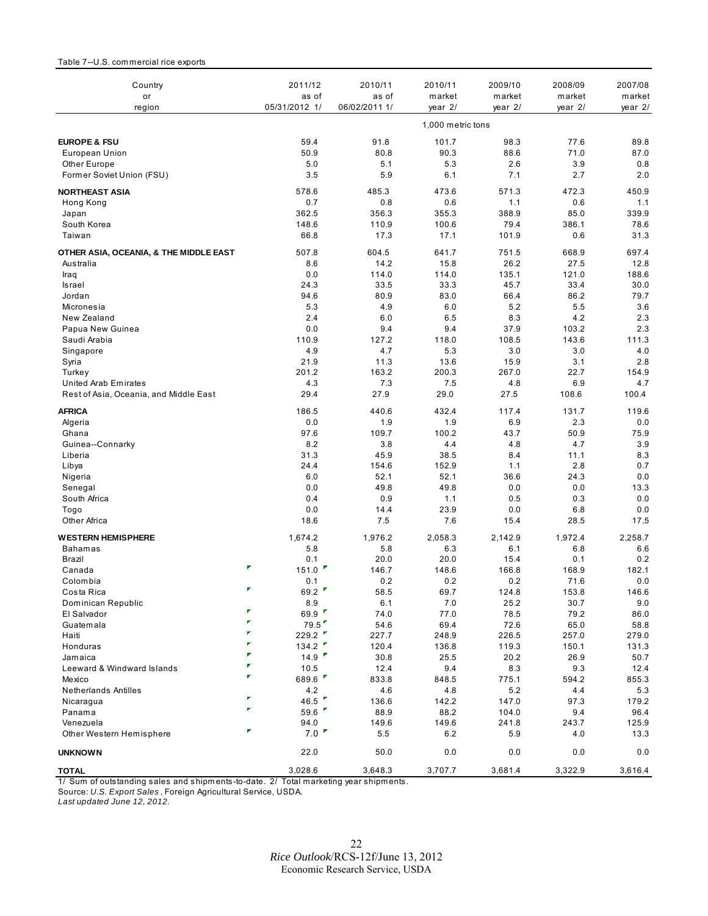### <span id="page-21-0"></span>Table 7--U.S. com mercial rice exports

| Country<br>or                               | 2011/12<br>as of                | 2010/11<br>as of | 2010/11<br>market | 2009/10<br>market | 2008/09<br>market | 2007/08<br>market |
|---------------------------------------------|---------------------------------|------------------|-------------------|-------------------|-------------------|-------------------|
| region                                      | 05/31/2012 1/                   | 06/02/2011 1/    | year 2/           | year 2/           | year 2/           | year 2/           |
|                                             |                                 |                  | 1,000 metric tons |                   |                   |                   |
| <b>EUROPE &amp; FSU</b>                     | 59.4                            | 91.8             | 101.7             | 98.3              | 77.6              | 89.8              |
| European Union                              | 50.9                            | 80.8             | 90.3              | 88.6              | 71.0              | 87.0              |
| Other Europe                                | 5.0                             | 5.1              | 5.3               | 2.6               | 3.9               | 0.8               |
| Former Soviet Union (FSU)                   | 3.5                             | 5.9              | 6.1               | 7.1               | 2.7               | 2.0               |
| <b>NORTHEAST ASIA</b>                       | 578.6                           | 485.3            | 473.6             | 571.3             | 472.3             | 450.9             |
| Hong Kong                                   | 0.7                             | 0.8              | 0.6               | 1.1               | 0.6               | 1.1               |
| Japan                                       | 362.5                           | 356.3            | 355.3             | 388.9             | 85.0              | 339.9             |
| South Korea                                 | 148.6                           | 110.9            | 100.6             | 79.4              | 386.1             | 78.6              |
| Taiwan                                      | 66.8                            | 17.3             | 17.1              | 101.9             | 0.6               | 31.3              |
| OTHER ASIA, OCEANIA, & THE MIDDLE EAST      | 507.8                           | 604.5            | 641.7             | 751.5             | 668.9             | 697.4             |
| Australia                                   | 8.6                             | 14.2             | 15.8              | 26.2              | 27.5              | 12.8              |
| Iraq                                        | 0.0                             | 114.0            | 114.0             | 135.1             | 121.0             | 188.6             |
| Israel                                      | 24.3                            | 33.5             | 33.3              | 45.7              | 33.4              | 30.0              |
| Jordan                                      | 94.6                            | 80.9             | 83.0              | 66.4<br>5.2       | 86.2              | 79.7              |
| Micronesia<br>New Zealand                   | 5.3<br>2.4                      | 4.9<br>6.0       | 6.0<br>6.5        | 8.3               | 5.5<br>4.2        | 3.6<br>2.3        |
| Papua New Guinea                            | 0.0                             | 9.4              | 9.4               | 37.9              | 103.2             | 2.3               |
| Saudi Arabia                                | 110.9                           | 127.2            | 118.0             | 108.5             | 143.6             | 111.3             |
| Singapore                                   | 4.9                             | 4.7              | 5.3               | 3.0               | 3.0               | 4.0               |
| Syria                                       | 21.9                            | 11.3             | 13.6              | 15.9              | 3.1               | 2.8               |
| Turkey                                      | 201.2                           | 163.2            | 200.3             | 267.0             | 22.7              | 154.9             |
| United Arab Emirates                        | 4.3                             | 7.3              | 7.5               | 4.8               | 6.9               | 4.7               |
| Rest of Asia, Oceania, and Middle East      | 29.4                            | 27.9             | 29.0              | 27.5              | 108.6             | 100.4             |
| <b>AFRICA</b>                               | 186.5                           | 440.6            | 432.4             | 117.4             | 131.7             | 119.6             |
| Algeria                                     | 0.0                             | 1.9              | 1.9               | 6.9               | 2.3               | 0.0               |
| Ghana                                       | 97.6                            | 109.7            | 100.2             | 43.7              | 50.9              | 75.9              |
| Guinea--Connarky                            | 8.2                             | 3.8              | 4.4               | 4.8               | 4.7               | 3.9               |
| Liberia                                     | 31.3                            | 45.9             | 38.5              | 8.4               | 11.1              | 8.3               |
| Libya                                       | 24.4                            | 154.6            | 152.9             | 1.1               | 2.8               | 0.7               |
| Nigeria                                     | 6.0                             | 52.1             | 52.1              | 36.6              | 24.3              | 0.0               |
| Senegal                                     | 0.0                             | 49.8             | 49.8              | 0.0               | 0.0               | 13.3              |
| South Africa                                | 0.4                             | 0.9              | 1.1               | 0.5               | 0.3               | 0.0               |
| Togo<br>Other Africa                        | 0.0<br>18.6                     | 14.4<br>7.5      | 23.9<br>7.6       | 0.0<br>15.4       | 6.8<br>28.5       | 0.0<br>17.5       |
|                                             |                                 | 1.976.2          |                   |                   |                   |                   |
| <b>WESTERN HEMISPHERE</b><br><b>Bahamas</b> | 1,674.2<br>5.8                  | 5.8              | 2,058.3<br>6.3    | 2,142.9<br>6.1    | 1,972.4<br>6.8    | 2,258.7<br>6.6    |
| Brazil                                      | 0.1                             | 20.0             | 20.0              | 15.4              | 0.1               | 0.2               |
| Canada                                      | F<br>151.0                      | 146.7            | 148.6             | 166.8             | 168.9             | 182.1             |
| Colombia                                    | 0.1                             | 0.2              | 0.2               | 0.2               | 71.6              | 0.0               |
| Costa Rica                                  | 69.2                            | 58.5             | 69.7              | 124.8             | 153.8             | 146.6             |
| Dominican Republic                          | 8.9                             | 6.1              | 7.0               | 25.2              | 30.7              | 9.0               |
| El Salvador                                 | ۳<br>69.9 $\blacksquare$        | 74.0             | 77.0              | 78.5              | 79.2              | 86.0              |
| Guatemala                                   | F<br>79.5                       | 54.6             | 69.4              | 72.6              | 65.0              | 58.8              |
| Haiti                                       | ۳<br>229.2                      | 227.7            | 248.9             | 226.5             | 257.0             | 279.0             |
| Honduras                                    | ₽<br>134.2<br>۳                 | 120.4            | 136.8             | 119.3             | 150.1             | 131.3             |
| Jamaica                                     | 14.9<br>۳                       | 30.8             | 25.5              | 20.2              | 26.9              | 50.7              |
| Leeward & Windward Islands                  | 10.5<br>F.                      | 12.4             | 9.4               | 8.3               | 9.3               | 12.4              |
| Mexico                                      | 689.6                           | 833.8            | 848.5             | 775.1             | 594.2             | 855.3             |
| <b>Netherlands Antilles</b>                 | 4.2<br>F<br>46.5 $\blacksquare$ | 4.6              | 4.8               | 5.2               | 4.4               | 5.3               |
| Nicaragua<br>Panama                         | ¥.<br>59.6                      | 136.6<br>88.9    | 142.2<br>88.2     | 147.0<br>104.0    | 97.3<br>9.4       | 179.2<br>96.4     |
| Venezuela                                   | 94.0                            | 149.6            | 149.6             | 241.8             | 243.7             | 125.9             |
| Other Western Hemisphere                    | ۳<br>7.0                        | 5.5              | 6.2               | 5.9               | 4.0               | 13.3              |
|                                             | 22.0                            | 50.0             | 0.0               | 0.0               | 0.0               | 0.0               |
| <b>UNKNOWN</b>                              |                                 |                  |                   |                   |                   |                   |
| <b>TOTAL</b>                                | 3,028.6                         | 3,648.3          | 3,707.7           | 3,681.4           | 3,322.9           | 3,616.4           |

1/ Sum of outstanding sales and shipm ents-to-date. 2/ Total marketing year shipm ents.

Source: *U.S. Export Sales* , Foreign Agricultural Service, USDA. *Last updated June 12, 2012.*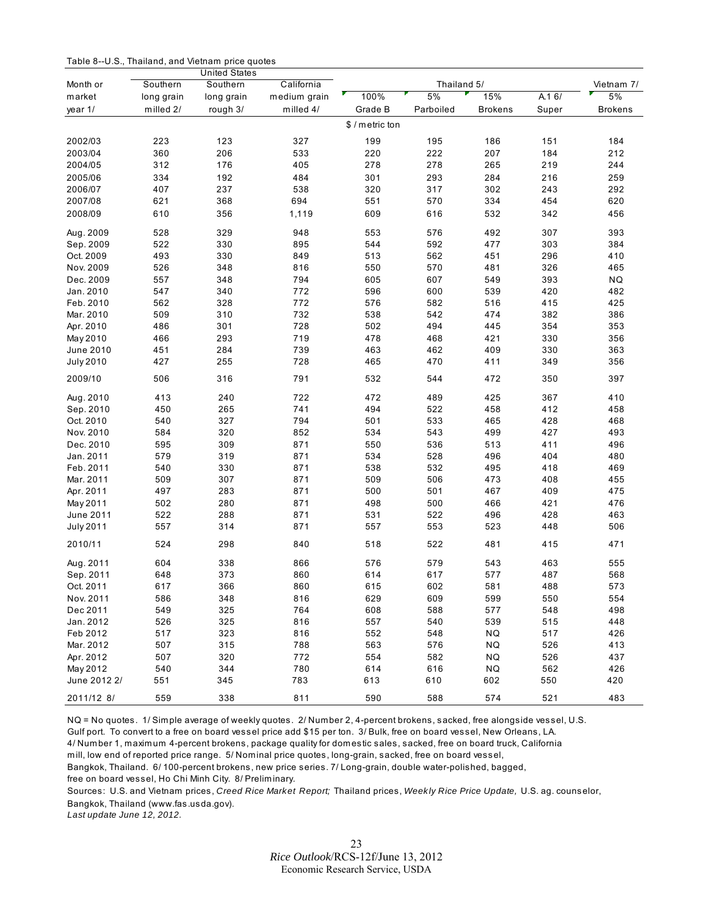<span id="page-22-0"></span>Table 8--U.S., Thailand, and Vietnam price quotes

|                  |            | <b>United States</b> |              |                 |             |                |       |                |
|------------------|------------|----------------------|--------------|-----------------|-------------|----------------|-------|----------------|
| Month or         | Southern   | Southern             | California   |                 | Thailand 5/ |                |       | Vietnam 7/     |
| market           | long grain | long grain           | medium grain | 100%            | 5%          | 15%            | A.16/ | 5%             |
| year 1/          | milled 2/  | rough 3/             | milled 4/    | Grade B         | Parboiled   | <b>Brokens</b> | Super | <b>Brokens</b> |
|                  |            |                      |              | \$ / metric ton |             |                |       |                |
| 2002/03          | 223        | 123                  | 327          | 199             | 195         | 186            | 151   | 184            |
| 2003/04          | 360        | 206                  | 533          | 220             | 222         | 207            | 184   | 212            |
| 2004/05          | 312        | 176                  | 405          | 278             | 278         | 265            | 219   | 244            |
| 2005/06          | 334        | 192                  | 484          | 301             | 293         | 284            | 216   | 259            |
| 2006/07          | 407        | 237                  | 538          | 320             | 317         | 302            | 243   | 292            |
| 2007/08          | 621        | 368                  | 694          | 551             | 570         | 334            | 454   | 620            |
| 2008/09          | 610        | 356                  | 1,119        | 609             | 616         | 532            | 342   | 456            |
| Aug. 2009        | 528        | 329                  | 948          | 553             | 576         | 492            | 307   | 393            |
| Sep. 2009        | 522        | 330                  | 895          | 544             | 592         | 477            | 303   | 384            |
| Oct. 2009        | 493        | 330                  | 849          | 513             | 562         | 451            | 296   | 410            |
| Nov. 2009        | 526        | 348                  | 816          | 550             | 570         | 481            | 326   | 465            |
| Dec. 2009        | 557        | 348                  | 794          | 605             | 607         | 549            | 393   | NQ             |
| Jan. 2010        | 547        | 340                  | 772          | 596             | 600         | 539            | 420   | 482            |
| Feb. 2010        | 562        | 328                  | 772          | 576             | 582         | 516            | 415   | 425            |
| Mar. 2010        | 509        | 310                  | 732          | 538             | 542         | 474            | 382   | 386            |
| Apr. 2010        | 486        | 301                  | 728          | 502             | 494         | 445            | 354   | 353            |
| May 2010         | 466        | 293                  | 719          | 478             | 468         | 421            | 330   | 356            |
| June 2010        | 451        | 284                  | 739          | 463             | 462         | 409            | 330   | 363            |
| <b>July 2010</b> | 427        | 255                  | 728          | 465             | 470         | 411            | 349   | 356            |
| 2009/10          | 506        | 316                  | 791          | 532             | 544         | 472            | 350   | 397            |
| Aug. 2010        | 413        | 240                  | 722          | 472             | 489         | 425            | 367   | 410            |
| Sep. 2010        | 450        | 265                  | 741          | 494             | 522         | 458            | 412   | 458            |
| Oct. 2010        | 540        | 327                  | 794          | 501             | 533         | 465            | 428   | 468            |
| Nov. 2010        | 584        | 320                  | 852          | 534             | 543         | 499            | 427   | 493            |
| Dec. 2010        | 595        | 309                  | 871          | 550             | 536         | 513            | 411   | 496            |
| Jan. 2011        | 579        | 319                  | 871          | 534             | 528         | 496            | 404   | 480            |
| Feb. 2011        | 540        | 330                  | 871          | 538             | 532         | 495            | 418   | 469            |
| Mar. 2011        | 509        | 307                  | 871          | 509             | 506         | 473            | 408   | 455            |
| Apr. 2011        | 497        | 283                  | 871          | 500             | 501         | 467            | 409   | 475            |
| May 2011         | 502        | 280                  | 871          | 498             | 500         | 466            | 421   | 476            |
| June 2011        | 522        | 288                  | 871          | 531             | 522         | 496            | 428   | 463            |
| <b>July 2011</b> | 557        | 314                  | 871          | 557             | 553         | 523            | 448   | 506            |
| 2010/11          | 524        | 298                  | 840          | 518             | 522         | 481            | 415   | 471            |
| Aug. 2011        | 604        | 338                  | 866          | 576             | 579         | 543            | 463   | 555            |
| Sep. 2011        | 648        | 373                  | 860          | 614             | 617         | 577            | 487   | 568            |
| Oct. 2011        | 617        | 366                  | 860          | 615             | 602         | 581            | 488   | 573            |
| Nov. 2011        | 586        | 348                  | 816          | 629             | 609         | 599            | 550   | 554            |
| Dec 2011         | 549        | 325                  | 764          | 608             | 588         | 577            | 548   | 498            |
| Jan. 2012        | 526        | 325                  | 816          | 557             | 540         | 539            | 515   | 448            |
| Feb 2012         | 517        | 323                  | 816          | 552             | 548         | NQ             | 517   | 426            |
| Mar. 2012        | 507        | 315                  | 788          | 563             | 576         | <b>NQ</b>      | 526   | 413            |
| Apr. 2012        | 507        | 320                  | 772          | 554             | 582         | <b>NQ</b>      | 526   | 437            |
| May 2012         | 540        | 344                  | 780          | 614             | 616         | <b>NQ</b>      | 562   | 426            |
| June 2012 2/     | 551        | 345                  | 783          | 613             | 610         | 602            | 550   | 420            |
| 2011/12 8/       | 559        | 338                  | 811          | 590             | 588         | 574            | 521   | 483            |

NQ = No quotes. 1/ Simple average of weekly quotes. 2/ Number 2, 4-percent brokens, sacked, free alongside vessel, U.S. Gulf port. To convert to a free on board vessel price add \$15 per ton. 3/ Bulk, free on board vessel, New Orleans, LA. 4/ Number 1, maximum 4-percent brokens, package quality for domestic sales, sacked, free on board truck, California mill, low end of reported price range. 5/ Nominal price quotes, long-grain, sacked, free on board vessel, Bangkok, Thailand. 6/ 100-percent brokens, new price series. 7/ Long-grain, double water-polished, bagged, free on board vessel, Ho Chi Minh City. 8/ Preliminary.

Sources: U.S. and Vietnam prices, *Creed Rice Market Report;* Thailand prices, *Weekly Rice Price Update,* U.S. ag. counselor, Bangkok, Thailand (www.fas.usda.gov).

*Last update June 12, 2012.*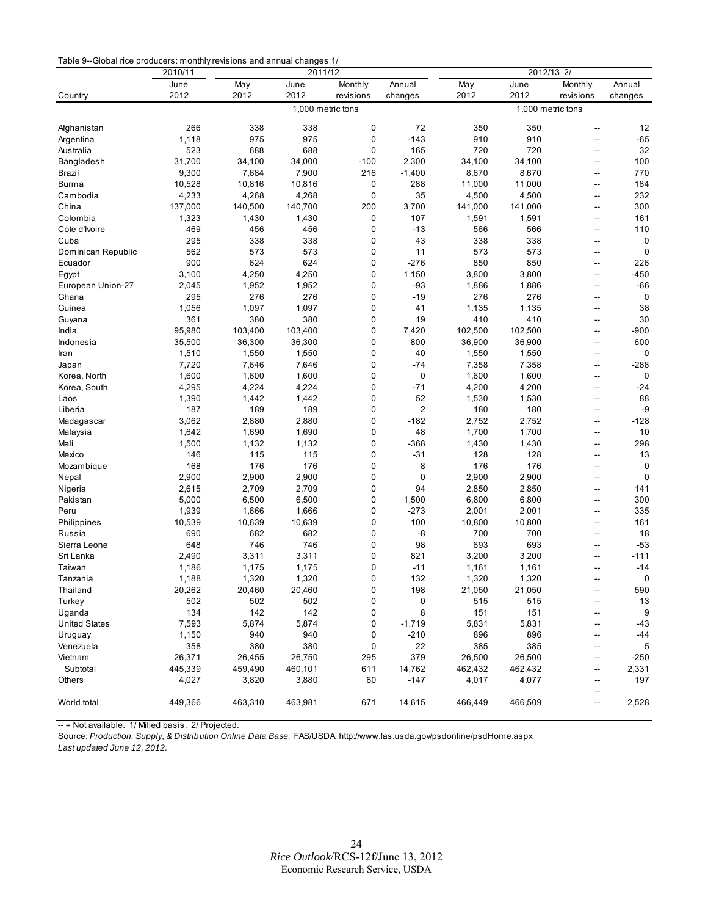<span id="page-23-0"></span>

|                      | 2010/11 |         | 2011/12           |             |                |         |                   |                          |              |
|----------------------|---------|---------|-------------------|-------------|----------------|---------|-------------------|--------------------------|--------------|
|                      | June    | May     | June              | Monthly     | Annual         | May     | June              | Monthly                  | Annual       |
| Country              | 2012    | 2012    | 2012              | revisions   | changes        | 2012    | 2012              | revisions                | changes      |
|                      |         |         | 1,000 metric tons |             |                |         | 1,000 metric tons |                          |              |
|                      |         |         |                   |             |                |         |                   |                          |              |
| Afghanistan          | 266     | 338     | 338               | 0           | 72             | 350     | 350               | --                       | 12           |
| Argentina            | 1,118   | 975     | 975               | $\mathbf 0$ | $-143$         | 910     | 910               | $\overline{a}$           | $-65$        |
| Australia            | 523     | 688     | 688               | $\mathbf 0$ | 165            | 720     | 720               | -−                       | 32           |
| Bangladesh           | 31,700  | 34,100  | 34,000            | $-100$      | 2,300          | 34,100  | 34,100            | --                       | 100          |
| Brazil               | 9,300   | 7,684   | 7,900             | 216         | $-1,400$       | 8,670   | 8,670             | $\overline{a}$           | 770          |
| <b>Burma</b>         | 10,528  | 10,816  | 10,816            | 0           | 288            | 11,000  | 11,000            | --                       | 184          |
| Cambodia             | 4,233   | 4,268   | 4,268             | 0           | 35             | 4,500   | 4,500             | $\overline{a}$           | 232          |
| China                | 137,000 | 140,500 | 140,700           | 200         | 3,700          | 141,000 | 141,000           | --                       | 300          |
| Colombia             | 1,323   | 1,430   | 1,430             | 0           | 107            | 1,591   | 1,591             | --                       | 161          |
| Cote d'Ivoire        | 469     | 456     | 456               | 0           | $-13$          | 566     | 566               | $\overline{\phantom{a}}$ | 110          |
| Cuba                 | 295     | 338     | 338               | 0           | 43             | 338     | 338               | --                       | 0            |
| Dominican Republic   | 562     | 573     | 573               | 0           | 11             | 573     | 573               | $\overline{a}$           | $\mathbf 0$  |
| Ecuador              | 900     | 624     | 624               | $\mathbf 0$ | $-276$         | 850     | 850               | --                       | 226          |
| Egypt                | 3,100   | 4,250   | 4,250             | 0           | 1,150          | 3,800   | 3,800             | --                       | $-450$       |
| European Union-27    | 2,045   | 1,952   | 1,952             | 0           | $-93$          | 1,886   | 1,886             | $\overline{a}$           | $-66$        |
| Ghana                | 295     | 276     | 276               | 0           | $-19$          | 276     | 276               | --                       | 0            |
| Guinea               | 1,056   | 1,097   | 1,097             | 0           | 41             | 1,135   | 1,135             | $\overline{a}$           | 38           |
| Guyana               | 361     | 380     | 380               | 0           | 19             | 410     | 410               | $\overline{a}$           | 30           |
| India                | 95,980  | 103,400 | 103,400           | 0           | 7,420          | 102,500 | 102,500           | --                       | $-900$       |
| Indonesia            | 35,500  | 36,300  | 36,300            | 0           | 800            | 36,900  | 36,900            | $\overline{a}$           | 600          |
| Iran                 | 1,510   | 1,550   | 1,550             | $\mathbf 0$ | 40             | 1,550   | 1,550             | ۰.                       | 0            |
| Japan                | 7,720   | 7,646   | 7,646             | 0           | -74            | 7,358   | 7,358             | $\overline{a}$           | $-288$       |
| Korea, North         | 1,600   | 1,600   | 1,600             | $\mathbf 0$ | 0              | 1,600   | 1,600             | --                       | 0            |
| Korea, South         | 4,295   | 4,224   | 4,224             | 0           | -71            | 4,200   | 4,200             | --                       | $-24$        |
| Laos                 | 1,390   | 1,442   | 1,442             | 0           | 52             | 1,530   | 1,530             | --                       | 88           |
| Liberia              | 187     | 189     | 189               | 0           | $\overline{2}$ | 180     | 180               | --                       | -9           |
| Madagascar           | 3,062   | 2,880   | 2,880             | 0           | $-182$         | 2,752   | 2,752             | $\overline{a}$           | $-128$       |
| Malaysia             | 1,642   | 1,690   | 1,690             | 0           | 48             | 1,700   | 1,700             | --                       | 10           |
| Mali                 | 1,500   | 1,132   | 1,132             | 0           | $-368$         | 1,430   | 1,430             | --                       | 298          |
| Mexico               | 146     | 115     | 115               | 0           | $-31$          | 128     | 128               | $\overline{a}$           | 13           |
| Mozambique           | 168     | 176     | 176               | 0           | 8              | 176     | 176               | --                       | 0            |
| Nepal                | 2,900   | 2,900   | 2,900             | 0           | 0              | 2,900   | 2,900             | $\overline{a}$           | 0            |
| Nigeria              | 2,615   | 2,709   | 2,709             | 0           | 94             | 2,850   | 2,850             | --                       | 141          |
| Pakistan             | 5,000   | 6,500   | 6,500             | 0           | 1,500          | 6,800   | 6,800             | --                       | 300          |
| Peru                 | 1,939   | 1,666   | 1,666             | 0           | $-273$         | 2,001   | 2,001             | --                       | 335          |
| Philippines          | 10,539  | 10,639  | 10,639            | 0           | 100            | 10,800  | 10,800            | $\overline{a}$           | 161          |
| Russia               | 690     | 682     | 682               | 0           | -8             | 700     | 700               | --                       | 18           |
| Sierra Leone         | 648     | 746     | 746               | 0           | 98             | 693     | 693               | $\overline{a}$           | $-53$        |
| Sri Lanka            | 2,490   | 3,311   | 3,311             | 0           | 821            | 3,200   | 3,200             | --                       | $-111$       |
| Taiwan               | 1,186   | 1,175   | 1,175             | 0           | $-11$          | 1,161   | 1,161             | $\overline{a}$           | $-14$        |
| Tanzania             | 1,188   | 1,320   | 1,320             | 0           | 132            | 1,320   | 1,320             | --                       | 0            |
| Thailand             | 20,262  | 20,460  | 20,460            | $\pmb{0}$   | 198            | 21,050  | 21,050            | --                       | 590          |
| Turkey               | 502     | 502     | 502               | 0           | 0              | 515     | 515               | --                       | 13           |
| Uganda               | 134     | 142     | 142               | 0           | 8              | 151     | 151               |                          | 9            |
| <b>United States</b> | 7,593   | 5,874   | 5,874             | 0           | $-1,719$       | 5,831   | 5,831             | --                       | -43          |
| Uruguay              | 1,150   | 940     | 940               | 0           | $-210$         | 896     | 896               | $\overline{a}$           | -44          |
| Venezuela            | 358     | 380     | 380               | 0           | 22             | 385     | 385               |                          | 5            |
|                      | 26,371  |         |                   |             | 379            |         |                   | --                       |              |
| Vietnam              |         | 26,455  | 26,750            | 295         |                | 26,500  | 26,500            | --                       | $-250$       |
| Subtotal             | 445,339 | 459,490 | 460,101           | 611         | 14,762         | 462,432 | 462,432           | --                       | 2,331<br>197 |
| Others               | 4,027   | 3,820   | 3,880             | 60          | $-147$         | 4,017   | 4,077             | --                       |              |
| World total          | 449,366 | 463,310 | 463,981           | 671         | 14,615         | 466,449 | 466,509           | --<br>--                 | 2,528        |
|                      |         |         |                   |             |                |         |                   |                          |              |

-- = Not available. 1/ Milled basis. 2/ Projected.

Source: *Production, Supply, & Distribution Online Data Base,* FAS/USDA, http://www.fas.usda.gov/psdonline/psdHome.aspx. *Last updated June 12, 2012.*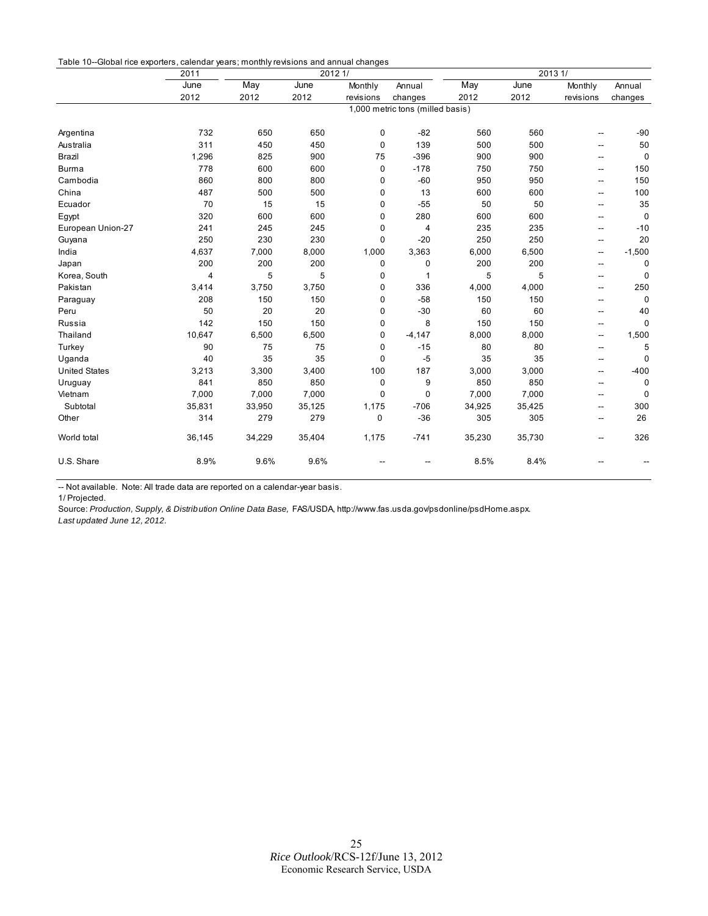<span id="page-24-0"></span>

|                      | 2011         | 2012 1/                          |        |                      |                | 2013 1/     |              |                          |                   |
|----------------------|--------------|----------------------------------|--------|----------------------|----------------|-------------|--------------|--------------------------|-------------------|
|                      | June<br>2012 | May                              | June   | Monthly<br>revisions | Annual         | May<br>2012 | June<br>2012 | Monthly<br>revisions     | Annual<br>changes |
|                      |              | 2012                             | 2012   |                      | changes        |             |              |                          |                   |
|                      |              | 1,000 metric tons (milled basis) |        |                      |                |             |              |                          |                   |
| Argentina            | 732          | 650                              | 650    | 0                    | $-82$          | 560         | 560          | --                       | $-90$             |
| Australia            | 311          | 450                              | 450    | 0                    | 139            | 500         | 500          | --                       | 50                |
| Brazil               | 1,296        | 825                              | 900    | 75                   | $-396$         | 900         | 900          | $\overline{\phantom{a}}$ | $\mathbf 0$       |
| <b>Burma</b>         | 778          | 600                              | 600    | 0                    | $-178$         | 750         | 750          | $\overline{\phantom{a}}$ | 150               |
| Cambodia             | 860          | 800                              | 800    | 0                    | $-60$          | 950         | 950          | $\overline{\phantom{a}}$ | 150               |
| China                | 487          | 500                              | 500    | 0                    | 13             | 600         | 600          | $\overline{a}$           | 100               |
| Ecuador              | 70           | 15                               | 15     | 0                    | $-55$          | 50          | 50           | --                       | 35                |
| Egypt                | 320          | 600                              | 600    | 0                    | 280            | 600         | 600          | --                       | $\mathbf 0$       |
| European Union-27    | 241          | 245                              | 245    | 0                    | $\overline{4}$ | 235         | 235          | --                       | $-10$             |
| Guyana               | 250          | 230                              | 230    | 0                    | $-20$          | 250         | 250          | $\overline{\phantom{a}}$ | 20                |
| India                | 4,637        | 7,000                            | 8,000  | 1,000                | 3,363          | 6,000       | 6,500        | $\overline{\phantom{a}}$ | $-1,500$          |
| Japan                | 200          | 200                              | 200    | 0                    | 0              | 200         | 200          | --                       | 0                 |
| Korea, South         | 4            | 5                                | 5      | 0                    | $\mathbf{1}$   | 5           | 5            | --                       | 0                 |
| Pakistan             | 3,414        | 3,750                            | 3,750  | 0                    | 336            | 4,000       | 4,000        | $\sim$ $\sim$            | 250               |
| Paraguay             | 208          | 150                              | 150    | 0                    | $-58$          | 150         | 150          | --                       | $\mathbf 0$       |
| Peru                 | 50           | 20                               | 20     | 0                    | $-30$          | 60          | 60           | ۰.                       | 40                |
| Russia               | 142          | 150                              | 150    | 0                    | 8              | 150         | 150          | --                       | $\mathbf 0$       |
| Thailand             | 10,647       | 6,500                            | 6,500  | 0                    | $-4,147$       | 8,000       | 8,000        | --                       | 1,500             |
| Turkey               | 90           | 75                               | 75     | 0                    | $-15$          | 80          | 80           | --                       | 5                 |
| Uganda               | 40           | 35                               | 35     | 0                    | $-5$           | 35          | 35           | $\overline{a}$           | $\mathbf 0$       |
| <b>United States</b> | 3,213        | 3,300                            | 3,400  | 100                  | 187            | 3,000       | 3,000        | --                       | $-400$            |
| Uruguay              | 841          | 850                              | 850    | 0                    | 9              | 850         | 850          | $\sim$                   | 0                 |
| Vietnam              | 7,000        | 7,000                            | 7,000  | 0                    | $\mathbf 0$    | 7,000       | 7,000        | --                       | $\mathbf 0$       |
| Subtotal             | 35,831       | 33,950                           | 35,125 | 1,175                | $-706$         | 34,925      | 35,425       | --                       | 300               |
| Other                | 314          | 279                              | 279    | 0                    | $-36$          | 305         | 305          | $\overline{\phantom{a}}$ | 26                |
| World total          | 36,145       | 34,229                           | 35,404 | 1,175                | $-741$         | 35,230      | 35,730       | --                       | 326               |
| U.S. Share           | 8.9%         | 9.6%                             | 9.6%   |                      |                | 8.5%        | 8.4%         |                          |                   |

-- Not available. Note: All trade data are reported on a calendar-year basis.

1/ Projected.

Source: *Production, Supply, & Distribution Online Data Base,* FAS/USDA, http://www.fas.usda.gov/psdonline/psdHome.aspx. *Last updated June 12, 2012.*